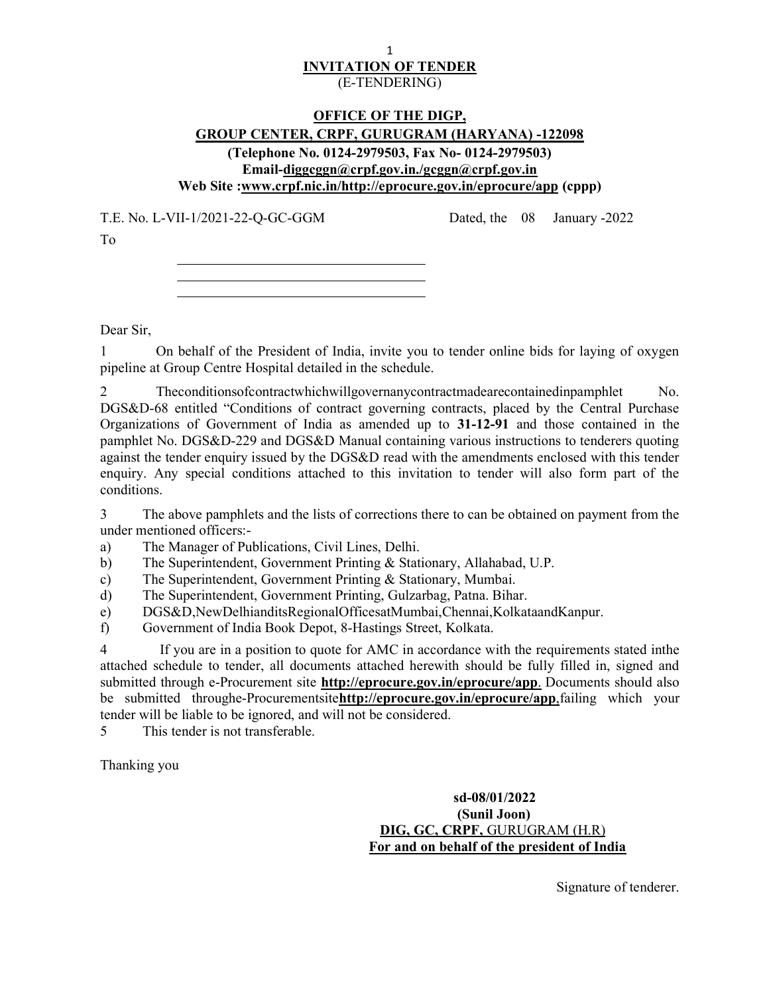### 1 INVITATION OF TENDER (E-TENDERING)

## OFFICE OF THE DIGP, GROUP CENTER, CRPF, GURUGRAM (HARYANA) -122098 (Telephone No. 0124-2979503, Fax No- 0124-2979503) Email-diggcggn@crpf.gov.in./gcggn@crpf.gov.in Web Site :www.crpf.nic.in/http://eprocure.gov.in/eprocure/app (cppp)

T.E. No. L-VII-1/2021-22-Q-GC-GGM Dated, the 08 January -2022

To

Dear Sir,

1 On behalf of the President of India, invite you to tender online bids for laying of oxygen pipeline at Group Centre Hospital detailed in the schedule.

2 Theconditionsofcontractwhichwillgovernanycontractmadearecontainedinpamphlet No. DGS&D-68 entitled "Conditions of contract governing contracts, placed by the Central Purchase Organizations of Government of India as amended up to 31-12-91 and those contained in the pamphlet No. DGS&D-229 and DGS&D Manual containing various instructions to tenderers quoting against the tender enquiry issued by the DGS&D read with the amendments enclosed with this tender enquiry. Any special conditions attached to this invitation to tender will also form part of the conditions.

3 The above pamphlets and the lists of corrections there to can be obtained on payment from the under mentioned officers:-

a) The Manager of Publications, Civil Lines, Delhi.

b) The Superintendent, Government Printing & Stationary, Allahabad, U.P.

c) The Superintendent, Government Printing & Stationary, Mumbai.

d) The Superintendent, Government Printing, Gulzarbag, Patna. Bihar.

e) DGS&D,NewDelhianditsRegionalOfficesatMumbai,Chennai,KolkataandKanpur.

f) Government of India Book Depot, 8-Hastings Street, Kolkata.

4 If you are in a position to quote for AMC in accordance with the requirements stated inthe attached schedule to tender, all documents attached herewith should be fully filled in, signed and submitted through e-Procurement site **http://eprocure.gov.in/eprocure/app**. Documents should also be submitted throughe-Procurementsitehttp://eprocure.gov.in/eprocure/app.failing which your tender will be liable to be ignored, and will not be considered.

5 This tender is not transferable.

Thanking you

 sd-08/01/2022 (Sunil Joon) DIG, GC, CRPF, GURUGRAM (H.R) For and on behalf of the president of India

Signature of tenderer.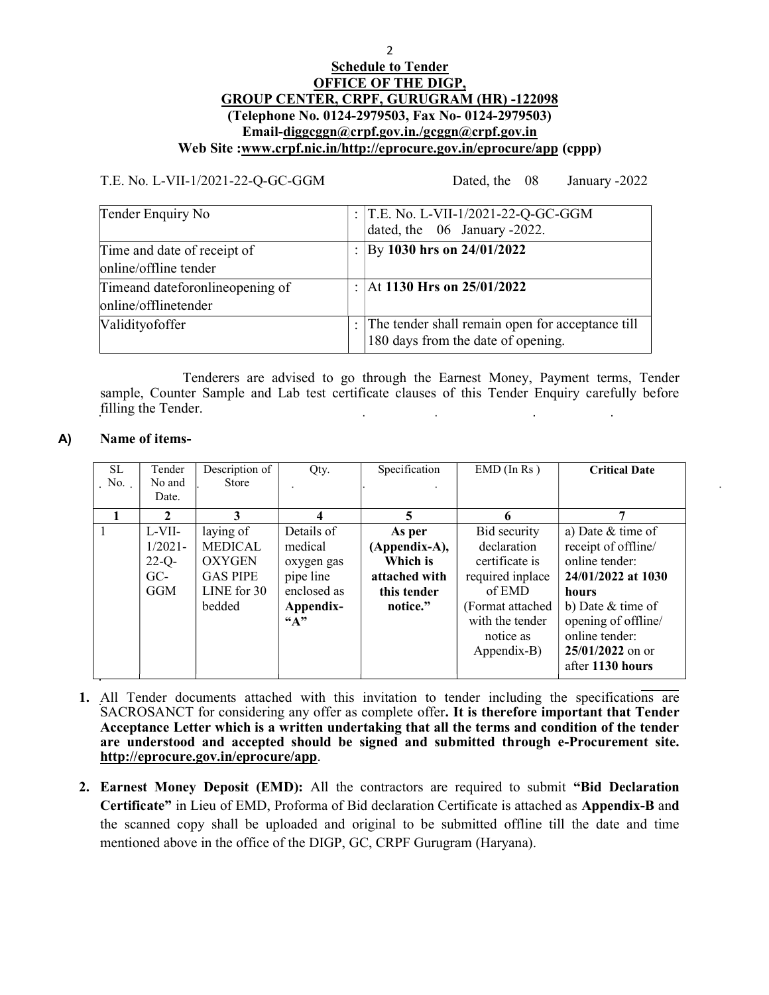## **Schedule to Tender** OFFICE OF THE DIGP, GROUP CENTER, CRPF, GURUGRAM (HR) -122098 (Telephone No. 0124-2979503, Fax No- 0124-2979503) Email-diggcggn@crpf.gov.in./gcggn@crpf.gov.in Web Site :www.crpf.nic.in/http://eprocure.gov.in/eprocure/app (cppp)

T.E. No. L-VII-1/2021-22-Q-GC-GGM Dated, the 08 January -2022

| Tender Enquiry No                                        | : $T.E. No. L-VII-1/2021-22-Q-GC-GGM$<br>dated, the 06 January -2022.                  |
|----------------------------------------------------------|----------------------------------------------------------------------------------------|
| Time and date of receipt of<br>online/offline tender     | By 1030 hrs on 24/01/2022                                                              |
| Timeand dateforonline opening of<br>online/offlinetender | At 1130 Hrs on $25/01/2022$                                                            |
| Validityofoffer                                          | The tender shall remain open for acceptance till<br>180 days from the date of opening. |

Tenderers are advised to go through the Earnest Money, Payment terms, Tender sample, Counter Sample and Lab test certificate clauses of this Tender Enquiry carefully before filling the Tender. i.  $\mathbb{R}^2$ 

## A) Name of items-

| SL.<br>$\sim$ No. | Tender<br>No and<br>Date.                        | Description of<br><b>Store</b>                                                           | Qty.                                                                                           | Specification                                                                   | $EMD$ (In Rs)                                                                                                                                   | <b>Critical Date</b>                                                                                                                                                                                |
|-------------------|--------------------------------------------------|------------------------------------------------------------------------------------------|------------------------------------------------------------------------------------------------|---------------------------------------------------------------------------------|-------------------------------------------------------------------------------------------------------------------------------------------------|-----------------------------------------------------------------------------------------------------------------------------------------------------------------------------------------------------|
|                   | 2                                                | 3                                                                                        | 4                                                                                              | 5                                                                               | 6                                                                                                                                               |                                                                                                                                                                                                     |
|                   | L-VII-<br>$1/2021 -$<br>$22-Q$ -<br>$GC-$<br>GGM | laying of<br><b>MEDICAL</b><br><b>OXYGEN</b><br><b>GAS PIPE</b><br>LINE for 30<br>bedded | Details of<br>medical<br>oxygen gas<br>pipe line<br>enclosed as<br>Appendix-<br>$\mathbf{A}$ " | As per<br>(Appendix-A),<br>Which is<br>attached with<br>this tender<br>notice." | Bid security<br>declaration<br>certificate is<br>required inplace<br>of EMD<br>(Format attached)<br>with the tender<br>notice as<br>Appendix-B) | a) Date & time of<br>receipt of offline/<br>online tender:<br>24/01/2022 at 1030<br>hours<br>b) Date $&$ time of<br>opening of offline/<br>online tender:<br>$25/01/2022$ on or<br>after 1130 hours |

- 1. All Tender documents attached with this invitation to tender including the specifications are SACROSANCT for considering any offer as complete offer. It is therefore important that Tender Acceptance Letter which is a written undertaking that all the terms and condition of the tender are understood and accepted should be signed and submitted through e-Procurement site. http://eprocure.gov.in/eprocure/app.
- 2. Earnest Money Deposit (EMD): All the contractors are required to submit "Bid Declaration Certificate" in Lieu of EMD, Proforma of Bid declaration Certificate is attached as Appendix-B and the scanned copy shall be uploaded and original to be submitted offline till the date and time mentioned above in the office of the DIGP, GC, CRPF Gurugram (Haryana).

2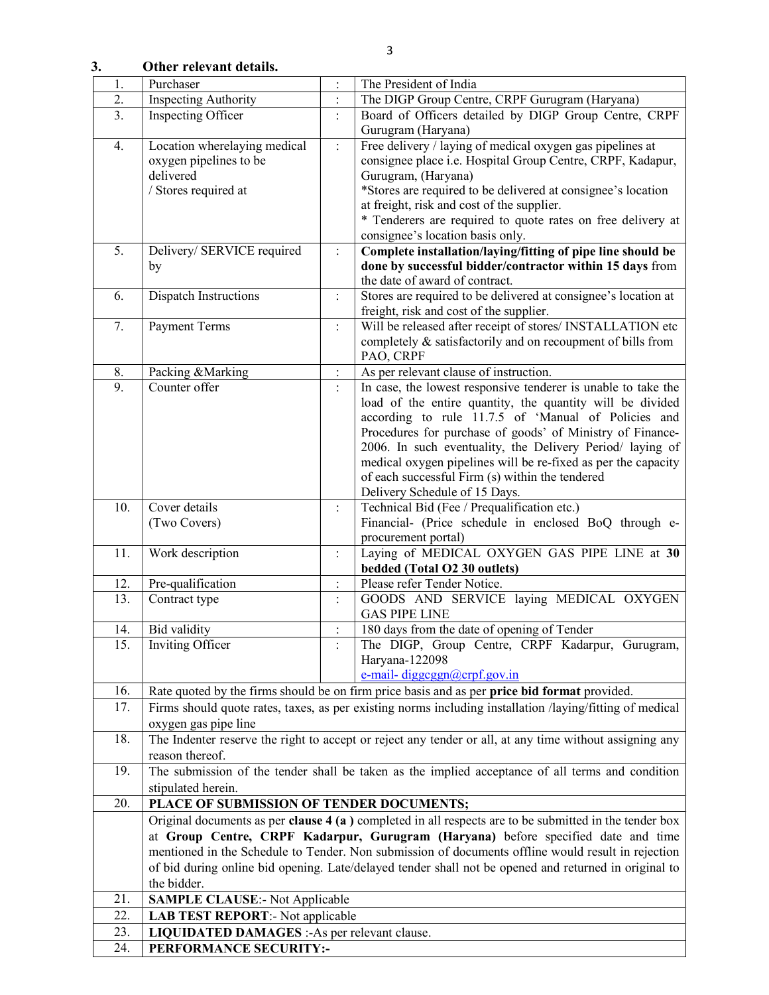3. Other relevant details.

| 1.               | Purchaser                                                                                                | $\vdots$             | The President of India                                                                                  |
|------------------|----------------------------------------------------------------------------------------------------------|----------------------|---------------------------------------------------------------------------------------------------------|
| $\overline{2}$ . | <b>Inspecting Authority</b>                                                                              | $\ddot{\cdot}$       | The DIGP Group Centre, CRPF Gurugram (Haryana)                                                          |
| 3.               | Board of Officers detailed by DIGP Group Centre, CRPF<br>Inspecting Officer<br>$\ddot{\cdot}$            |                      |                                                                                                         |
|                  |                                                                                                          |                      | Gurugram (Haryana)                                                                                      |
| 4.               | Location wherelaying medical                                                                             | $\ddot{\cdot}$       | Free delivery / laying of medical oxygen gas pipelines at                                               |
|                  | oxygen pipelines to be                                                                                   |                      | consignee place i.e. Hospital Group Centre, CRPF, Kadapur,                                              |
|                  | delivered                                                                                                |                      | Gurugram, (Haryana)                                                                                     |
|                  | / Stores required at                                                                                     |                      | *Stores are required to be delivered at consignee's location                                            |
|                  |                                                                                                          |                      | at freight, risk and cost of the supplier.                                                              |
|                  |                                                                                                          |                      | * Tenderers are required to quote rates on free delivery at<br>consignee's location basis only.         |
| 5.               | Delivery/ SERVICE required                                                                               | $\ddot{\cdot}$       | Complete installation/laying/fitting of pipe line should be                                             |
|                  | by                                                                                                       |                      | done by successful bidder/contractor within 15 days from                                                |
|                  |                                                                                                          |                      | the date of award of contract.                                                                          |
| 6.               | Dispatch Instructions                                                                                    | $\ddot{\cdot}$       | Stores are required to be delivered at consignee's location at                                          |
|                  |                                                                                                          |                      | freight, risk and cost of the supplier.                                                                 |
| 7.               | <b>Payment Terms</b>                                                                                     | $\ddot{\phantom{a}}$ | Will be released after receipt of stores/ INSTALLATION etc                                              |
|                  |                                                                                                          |                      | completely & satisfactorily and on recoupment of bills from                                             |
|                  |                                                                                                          |                      | PAO, CRPF                                                                                               |
| 8.               | Packing &Marking                                                                                         | $\ddot{\cdot}$       | As per relevant clause of instruction.                                                                  |
| 9.               | Counter offer                                                                                            |                      | In case, the lowest responsive tenderer is unable to take the                                           |
|                  |                                                                                                          |                      | load of the entire quantity, the quantity will be divided                                               |
|                  |                                                                                                          |                      | according to rule 11.7.5 of 'Manual of Policies and                                                     |
|                  |                                                                                                          |                      | Procedures for purchase of goods' of Ministry of Finance-                                               |
|                  |                                                                                                          |                      | 2006. In such eventuality, the Delivery Period/ laying of                                               |
|                  |                                                                                                          |                      | medical oxygen pipelines will be re-fixed as per the capacity                                           |
|                  |                                                                                                          |                      | of each successful Firm (s) within the tendered                                                         |
|                  |                                                                                                          |                      | Delivery Schedule of 15 Days.                                                                           |
| 10.              | Cover details                                                                                            | $\ddot{\cdot}$       | Technical Bid (Fee / Prequalification etc.)                                                             |
|                  | (Two Covers)                                                                                             |                      | Financial- (Price schedule in enclosed BoQ through e-                                                   |
| 11.              |                                                                                                          |                      | procurement portal)                                                                                     |
|                  | Work description                                                                                         | $\ddot{\cdot}$       | Laying of MEDICAL OXYGEN GAS PIPE LINE at 30<br>bedded (Total O2 30 outlets)                            |
| 12.              | Pre-qualification                                                                                        | $\ddot{\cdot}$       | Please refer Tender Notice.                                                                             |
| 13.              | Contract type                                                                                            |                      | GOODS AND SERVICE laying MEDICAL OXYGEN                                                                 |
|                  |                                                                                                          |                      | <b>GAS PIPE LINE</b>                                                                                    |
| 14.              | Bid validity                                                                                             |                      | 180 days from the date of opening of Tender                                                             |
| 15.              | <b>Inviting Officer</b>                                                                                  |                      | The DIGP, Group Centre, CRPF Kadarpur, Gurugram,                                                        |
|                  |                                                                                                          |                      | Haryana-122098                                                                                          |
|                  |                                                                                                          |                      | e-mail-diggcggn@crpf.gov.in                                                                             |
| 16.              | Rate quoted by the firms should be on firm price basis and as per price bid format provided.             |                      |                                                                                                         |
| 17.              | Firms should quote rates, taxes, as per existing norms including installation /laying/fitting of medical |                      |                                                                                                         |
|                  | oxygen gas pipe line                                                                                     |                      |                                                                                                         |
| 18.              | The Indenter reserve the right to accept or reject any tender or all, at any time without assigning any  |                      |                                                                                                         |
|                  | reason thereof.                                                                                          |                      |                                                                                                         |
| 19.              |                                                                                                          |                      | The submission of the tender shall be taken as the implied acceptance of all terms and condition        |
|                  | stipulated herein.                                                                                       |                      |                                                                                                         |
| 20.              | PLACE OF SUBMISSION OF TENDER DOCUMENTS;                                                                 |                      |                                                                                                         |
|                  |                                                                                                          |                      | Original documents as per clause $4(a)$ completed in all respects are to be submitted in the tender box |
|                  |                                                                                                          |                      | at Group Centre, CRPF Kadarpur, Gurugram (Haryana) before specified date and time                       |
|                  |                                                                                                          |                      | mentioned in the Schedule to Tender. Non submission of documents offline would result in rejection      |
|                  | of bid during online bid opening. Late/delayed tender shall not be opened and returned in original to    |                      |                                                                                                         |
|                  | the bidder.                                                                                              |                      |                                                                                                         |
| 21.              | <b>SAMPLE CLAUSE:</b> Not Applicable                                                                     |                      |                                                                                                         |
| 22.              | <b>LAB TEST REPORT:</b> - Not applicable                                                                 |                      |                                                                                                         |
| 23.              | LIQUIDATED DAMAGES :- As per relevant clause.                                                            |                      |                                                                                                         |
| 24.              | PERFORMANCE SECURITY:-                                                                                   |                      |                                                                                                         |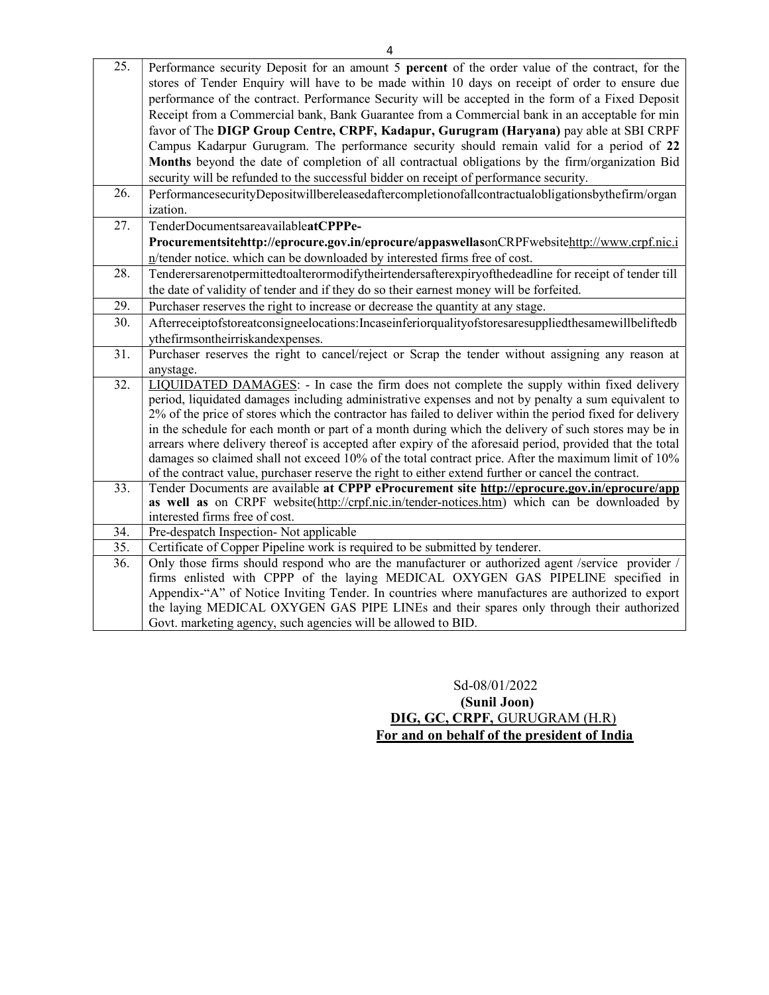| 25. | Performance security Deposit for an amount 5 percent of the order value of the contract, for the                                                                                    |
|-----|-------------------------------------------------------------------------------------------------------------------------------------------------------------------------------------|
|     | stores of Tender Enquiry will have to be made within 10 days on receipt of order to ensure due                                                                                      |
|     | performance of the contract. Performance Security will be accepted in the form of a Fixed Deposit                                                                                   |
|     | Receipt from a Commercial bank, Bank Guarantee from a Commercial bank in an acceptable for min                                                                                      |
|     | favor of The DIGP Group Centre, CRPF, Kadapur, Gurugram (Haryana) pay able at SBI CRPF                                                                                              |
|     | Campus Kadarpur Gurugram. The performance security should remain valid for a period of 22                                                                                           |
|     | Months beyond the date of completion of all contractual obligations by the firm/organization Bid                                                                                    |
|     | security will be refunded to the successful bidder on receipt of performance security.                                                                                              |
| 26. | PerformancesecurityDepositwillbereleasedaftercompletionofallcontractualobligationsbythefirm/organ                                                                                   |
|     | ization.                                                                                                                                                                            |
| 27. | TenderDocumentsareavailableatCPPPe-                                                                                                                                                 |
|     | Procurementsitehttp://eprocure.gov.in/eprocure/appaswellasonCRPFwebsitehttp://www.crpf.nic.i                                                                                        |
|     | n/tender notice. which can be downloaded by interested firms free of cost.                                                                                                          |
| 28. | Tenderersarenotpermittedtoalterormodifytheirtendersafterexpiryofthedeadline for receipt of tender till                                                                              |
|     | the date of validity of tender and if they do so their earnest money will be forfeited.                                                                                             |
| 29. | Purchaser reserves the right to increase or decrease the quantity at any stage.                                                                                                     |
| 30. | Afterreceiptofstoreatconsigneelocations:Incaseinferiorqualityofstoresaresuppliedthesamewillbeliftedb                                                                                |
|     | ythefirmsontheirriskandexpenses.                                                                                                                                                    |
| 31. | Purchaser reserves the right to cancel/reject or Scrap the tender without assigning any reason at                                                                                   |
| 32. | anystage.<br>LIQUIDATED DAMAGES: - In case the firm does not complete the supply within fixed delivery                                                                              |
|     | period, liquidated damages including administrative expenses and not by penalty a sum equivalent to                                                                                 |
|     | 2% of the price of stores which the contractor has failed to deliver within the period fixed for delivery                                                                           |
|     | in the schedule for each month or part of a month during which the delivery of such stores may be in                                                                                |
|     | arrears where delivery thereof is accepted after expiry of the aforesaid period, provided that the total                                                                            |
|     | damages so claimed shall not exceed 10% of the total contract price. After the maximum limit of 10%                                                                                 |
|     | of the contract value, purchaser reserve the right to either extend further or cancel the contract.                                                                                 |
| 33. | Tender Documents are available at CPPP eProcurement site http://eprocure.gov.in/eprocure/app                                                                                        |
|     | as well as on CRPF website(http://crpf.nic.in/tender-notices.htm) which can be downloaded by                                                                                        |
|     | interested firms free of cost.                                                                                                                                                      |
| 34. | Pre-despatch Inspection- Not applicable                                                                                                                                             |
| 35. | Certificate of Copper Pipeline work is required to be submitted by tenderer.                                                                                                        |
| 36. | Only those firms should respond who are the manufacturer or authorized agent /service provider /<br>firms enlisted with CPPP of the laying MEDICAL OXYGEN GAS PIPELINE specified in |
|     | Appendix-"A" of Notice Inviting Tender. In countries where manufactures are authorized to export                                                                                    |
|     | the laying MEDICAL OXYGEN GAS PIPE LINEs and their spares only through their authorized                                                                                             |
|     | Govt. marketing agency, such agencies will be allowed to BID.                                                                                                                       |
|     |                                                                                                                                                                                     |

 Sd-08/01/2022 (Sunil Joon) DIG, GC, CRPF, GURUGRAM (H.R) For and on behalf of the president of India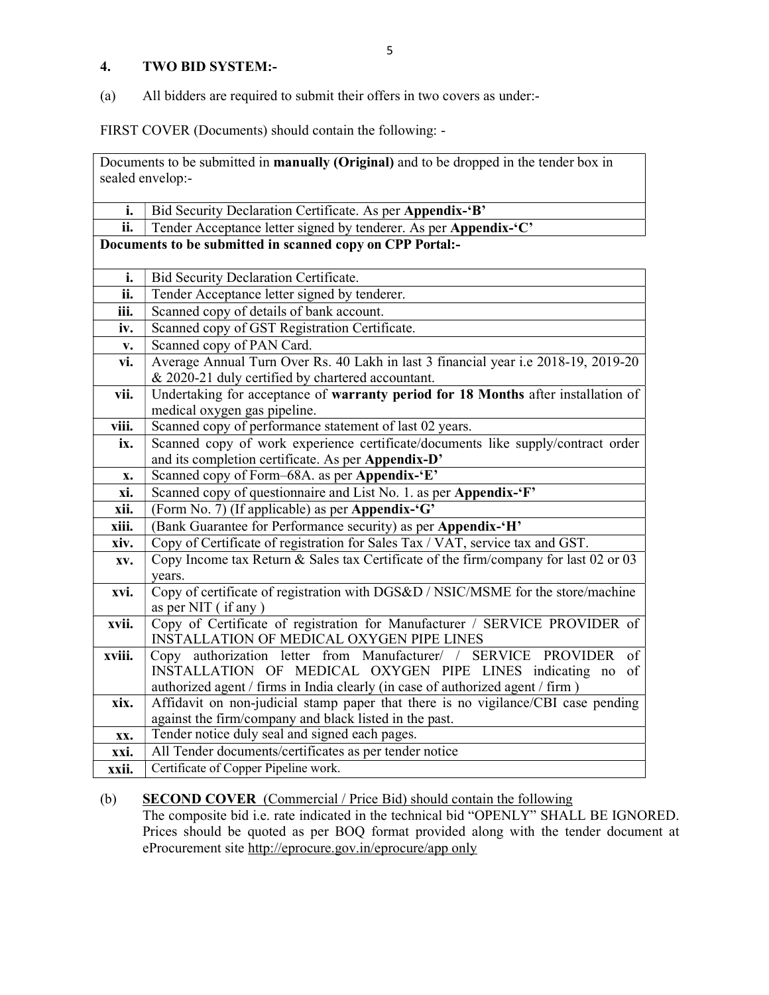### 4. TWO BID SYSTEM:-

(a) All bidders are required to submit their offers in two covers as under:-

FIRST COVER (Documents) should contain the following: -

Documents to be submitted in manually (Original) and to be dropped in the tender box in sealed envelop:-

| i.     | Bid Security Declaration Certificate. As per Appendix-'B'                                         |  |
|--------|---------------------------------------------------------------------------------------------------|--|
| ii.    | Tender Acceptance letter signed by tenderer. As per Appendix-'C'                                  |  |
|        | Documents to be submitted in scanned copy on CPP Portal:-                                         |  |
|        |                                                                                                   |  |
| i.     | Bid Security Declaration Certificate.                                                             |  |
| ii.    | Tender Acceptance letter signed by tenderer.                                                      |  |
| iii.   | Scanned copy of details of bank account.                                                          |  |
| iv.    | Scanned copy of GST Registration Certificate.                                                     |  |
| V.     | Scanned copy of PAN Card.                                                                         |  |
| vi.    | Average Annual Turn Over Rs. 40 Lakh in last 3 financial year i.e 2018-19, 2019-20                |  |
|        | & 2020-21 duly certified by chartered accountant.                                                 |  |
| vii.   | Undertaking for acceptance of warranty period for 18 Months after installation of                 |  |
|        | medical oxygen gas pipeline.                                                                      |  |
| viii.  | Scanned copy of performance statement of last 02 years.                                           |  |
| ix.    | Scanned copy of work experience certificate/documents like supply/contract order                  |  |
|        | and its completion certificate. As per Appendix-D'                                                |  |
| X.     | Scanned copy of Form-68A. as per Appendix-'E'                                                     |  |
| xi.    | Scanned copy of questionnaire and List No. 1. as per Appendix-'F'                                 |  |
| xii.   | (Form No. 7) (If applicable) as per Appendix-'G'                                                  |  |
| xiii.  | (Bank Guarantee for Performance security) as per Appendix-'H'                                     |  |
| xiv.   | Copy of Certificate of registration for Sales Tax / VAT, service tax and GST.                     |  |
| XV.    | Copy Income tax Return & Sales tax Certificate of the firm/company for last 02 or 03              |  |
|        | years.                                                                                            |  |
| xvi.   | Copy of certificate of registration with DGS&D / NSIC/MSME for the store/machine                  |  |
| xvii.  | as per NIT (if any)<br>Copy of Certificate of registration for Manufacturer / SERVICE PROVIDER of |  |
|        | INSTALLATION OF MEDICAL OXYGEN PIPE LINES                                                         |  |
| xviii. | Copy authorization letter from Manufacturer/ /<br>SERVICE PROVIDER<br>of                          |  |
|        | INSTALLATION OF MEDICAL OXYGEN PIPE LINES indicating no<br>of                                     |  |
|        | authorized agent / firms in India clearly (in case of authorized agent / firm )                   |  |
| xix.   | Affidavit on non-judicial stamp paper that there is no vigilance/CBI case pending                 |  |
|        | against the firm/company and black listed in the past.                                            |  |
| XX.    | Tender notice duly seal and signed each pages.                                                    |  |
| xxi.   | All Tender documents/certificates as per tender notice                                            |  |
| xxii.  | Certificate of Copper Pipeline work.                                                              |  |

## (b) SECOND COVER (Commercial / Price Bid) should contain the following

The composite bid i.e. rate indicated in the technical bid "OPENLY" SHALL BE IGNORED. Prices should be quoted as per BOQ format provided along with the tender document at eProcurement site http://eprocure.gov.in/eprocure/app only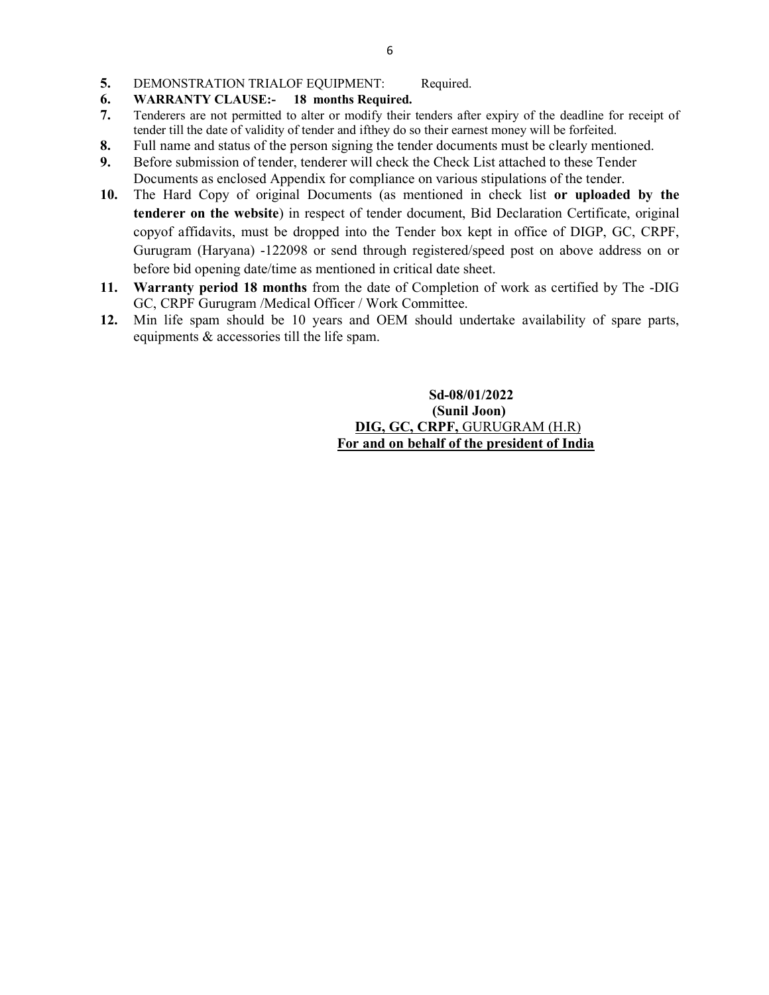- 5. DEMONSTRATION TRIALOF EQUIPMENT: Required.
- 6. WARRANTY CLAUSE:- 18 months Required.
- 7. Tenderers are not permitted to alter or modify their tenders after expiry of the deadline for receipt of tender till the date of validity of tender and ifthey do so their earnest money will be forfeited.
- 8. Full name and status of the person signing the tender documents must be clearly mentioned.
- 9. Before submission of tender, tenderer will check the Check List attached to these Tender Documents as enclosed Appendix for compliance on various stipulations of the tender.
- 10. The Hard Copy of original Documents (as mentioned in check list or uploaded by the tenderer on the website) in respect of tender document, Bid Declaration Certificate, original copyof affidavits, must be dropped into the Tender box kept in office of DIGP, GC, CRPF, Gurugram (Haryana) -122098 or send through registered/speed post on above address on or before bid opening date/time as mentioned in critical date sheet.
- 11. Warranty period 18 months from the date of Completion of work as certified by The -DIG GC, CRPF Gurugram /Medical Officer / Work Committee.
- 12. Min life spam should be 10 years and OEM should undertake availability of spare parts, equipments & accessories till the life spam.

 Sd-08/01/2022 (Sunil Joon) DIG, GC, CRPF, GURUGRAM (H.R) For and on behalf of the president of India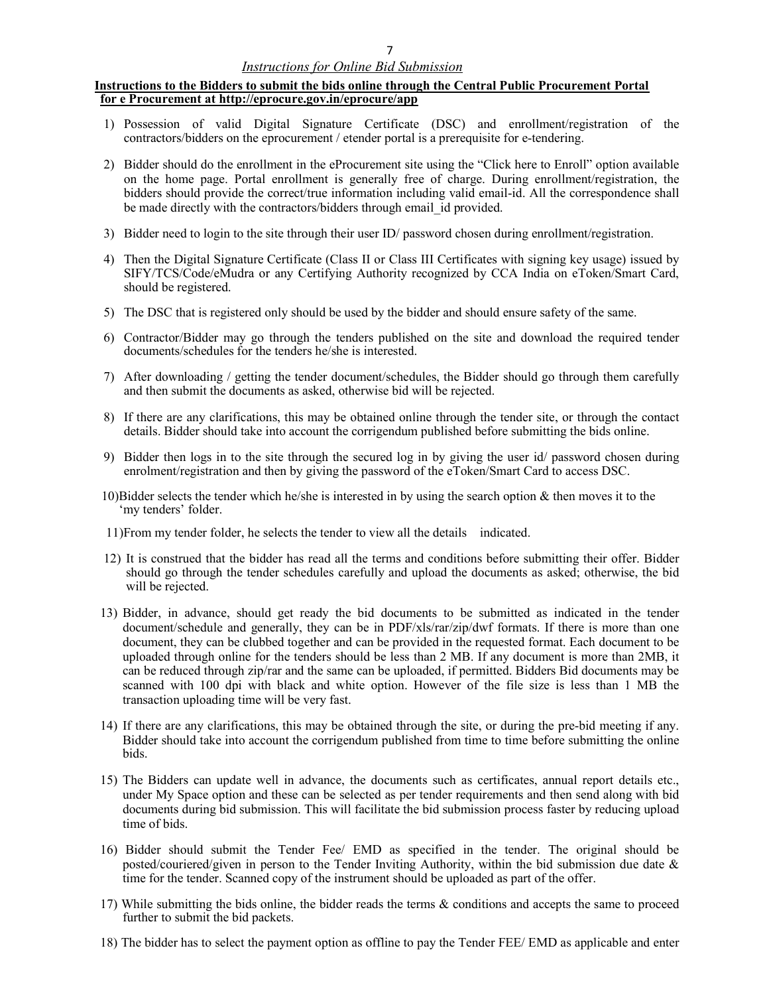#### Instructions to the Bidders to submit the bids online through the Central Public Procurement Portal for e Procurement at http://eprocure.gov.in/eprocure/app

- 1) Possession of valid Digital Signature Certificate (DSC) and enrollment/registration of the contractors/bidders on the eprocurement / etender portal is a prerequisite for e-tendering.
- 2) Bidder should do the enrollment in the eProcurement site using the "Click here to Enroll" option available on the home page. Portal enrollment is generally free of charge. During enrollment/registration, the bidders should provide the correct/true information including valid email-id. All the correspondence shall be made directly with the contractors/bidders through email id provided.
- 3) Bidder need to login to the site through their user ID/ password chosen during enrollment/registration.
- 4) Then the Digital Signature Certificate (Class II or Class III Certificates with signing key usage) issued by SIFY/TCS/Code/eMudra or any Certifying Authority recognized by CCA India on eToken/Smart Card, should be registered.
- 5) The DSC that is registered only should be used by the bidder and should ensure safety of the same.
- 6) Contractor/Bidder may go through the tenders published on the site and download the required tender documents/schedules for the tenders he/she is interested.
- 7) After downloading / getting the tender document/schedules, the Bidder should go through them carefully and then submit the documents as asked, otherwise bid will be rejected.
- 8) If there are any clarifications, this may be obtained online through the tender site, or through the contact details. Bidder should take into account the corrigendum published before submitting the bids online.
- 9) Bidder then logs in to the site through the secured log in by giving the user id/ password chosen during enrolment/registration and then by giving the password of the eToken/Smart Card to access DSC.
- 10)Bidder selects the tender which he/she is interested in by using the search option  $\&$  then moves it to the 'my tenders' folder.
- 11)From my tender folder, he selects the tender to view all the details indicated.
- 12) It is construed that the bidder has read all the terms and conditions before submitting their offer. Bidder should go through the tender schedules carefully and upload the documents as asked; otherwise, the bid will be rejected.
- 13) Bidder, in advance, should get ready the bid documents to be submitted as indicated in the tender document/schedule and generally, they can be in PDF/xls/rar/zip/dwf formats. If there is more than one document, they can be clubbed together and can be provided in the requested format. Each document to be uploaded through online for the tenders should be less than 2 MB. If any document is more than 2MB, it can be reduced through zip/rar and the same can be uploaded, if permitted. Bidders Bid documents may be scanned with 100 dpi with black and white option. However of the file size is less than 1 MB the transaction uploading time will be very fast.
- 14) If there are any clarifications, this may be obtained through the site, or during the pre-bid meeting if any. Bidder should take into account the corrigendum published from time to time before submitting the online bids.
- 15) The Bidders can update well in advance, the documents such as certificates, annual report details etc., under My Space option and these can be selected as per tender requirements and then send along with bid documents during bid submission. This will facilitate the bid submission process faster by reducing upload time of bids.
- 16) Bidder should submit the Tender Fee/ EMD as specified in the tender. The original should be posted/couriered/given in person to the Tender Inviting Authority, within the bid submission due date & time for the tender. Scanned copy of the instrument should be uploaded as part of the offer.
- 17) While submitting the bids online, the bidder reads the terms & conditions and accepts the same to proceed further to submit the bid packets.
- 18) The bidder has to select the payment option as offline to pay the Tender FEE/ EMD as applicable and enter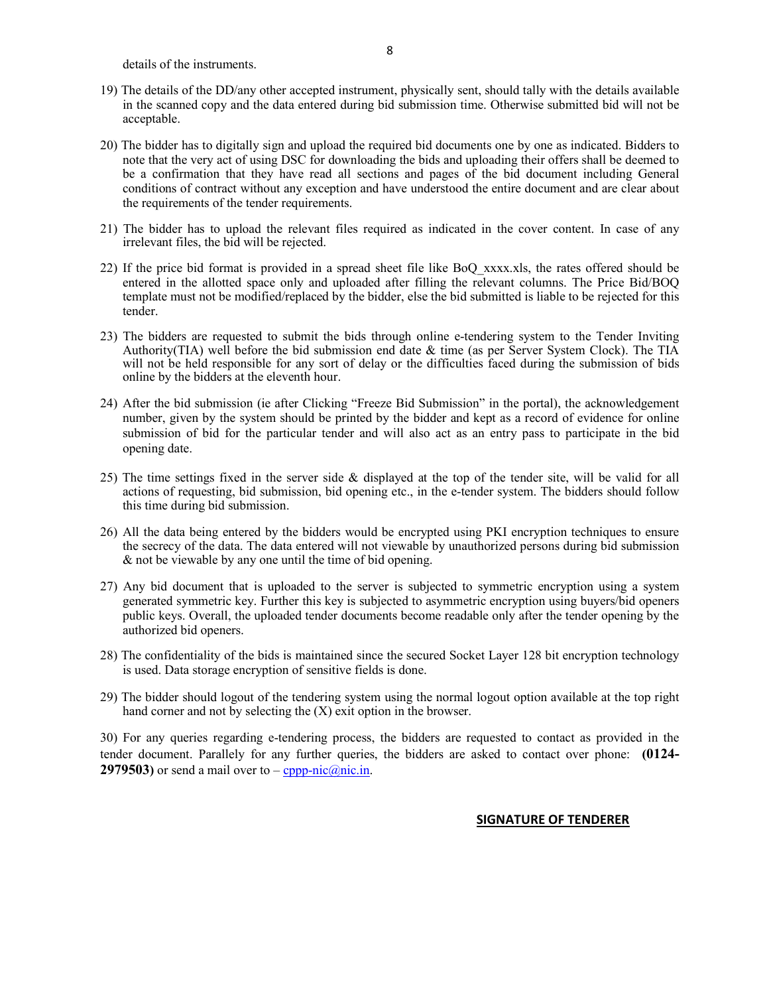details of the instruments.

- 19) The details of the DD/any other accepted instrument, physically sent, should tally with the details available in the scanned copy and the data entered during bid submission time. Otherwise submitted bid will not be acceptable.
- 20) The bidder has to digitally sign and upload the required bid documents one by one as indicated. Bidders to note that the very act of using DSC for downloading the bids and uploading their offers shall be deemed to be a confirmation that they have read all sections and pages of the bid document including General conditions of contract without any exception and have understood the entire document and are clear about the requirements of the tender requirements.
- 21) The bidder has to upload the relevant files required as indicated in the cover content. In case of any irrelevant files, the bid will be rejected.
- 22) If the price bid format is provided in a spread sheet file like BoQ\_xxxx.xls, the rates offered should be entered in the allotted space only and uploaded after filling the relevant columns. The Price Bid/BOQ template must not be modified/replaced by the bidder, else the bid submitted is liable to be rejected for this tender.
- 23) The bidders are requested to submit the bids through online e-tendering system to the Tender Inviting Authority(TIA) well before the bid submission end date & time (as per Server System Clock). The TIA will not be held responsible for any sort of delay or the difficulties faced during the submission of bids online by the bidders at the eleventh hour.
- 24) After the bid submission (ie after Clicking "Freeze Bid Submission" in the portal), the acknowledgement number, given by the system should be printed by the bidder and kept as a record of evidence for online submission of bid for the particular tender and will also act as an entry pass to participate in the bid opening date.
- 25) The time settings fixed in the server side & displayed at the top of the tender site, will be valid for all actions of requesting, bid submission, bid opening etc., in the e-tender system. The bidders should follow this time during bid submission.
- 26) All the data being entered by the bidders would be encrypted using PKI encryption techniques to ensure the secrecy of the data. The data entered will not viewable by unauthorized persons during bid submission & not be viewable by any one until the time of bid opening.
- 27) Any bid document that is uploaded to the server is subjected to symmetric encryption using a system generated symmetric key. Further this key is subjected to asymmetric encryption using buyers/bid openers public keys. Overall, the uploaded tender documents become readable only after the tender opening by the authorized bid openers.
- 28) The confidentiality of the bids is maintained since the secured Socket Layer 128 bit encryption technology is used. Data storage encryption of sensitive fields is done.
- 29) The bidder should logout of the tendering system using the normal logout option available at the top right hand corner and not by selecting the (X) exit option in the browser.

30) For any queries regarding e-tendering process, the bidders are requested to contact as provided in the tender document. Parallely for any further queries, the bidders are asked to contact over phone: (0124- 2979503) or send a mail over to  $-\text{cppp-nic}(\hat{a})$ nic.in.

#### SIGNATURE OF TENDERER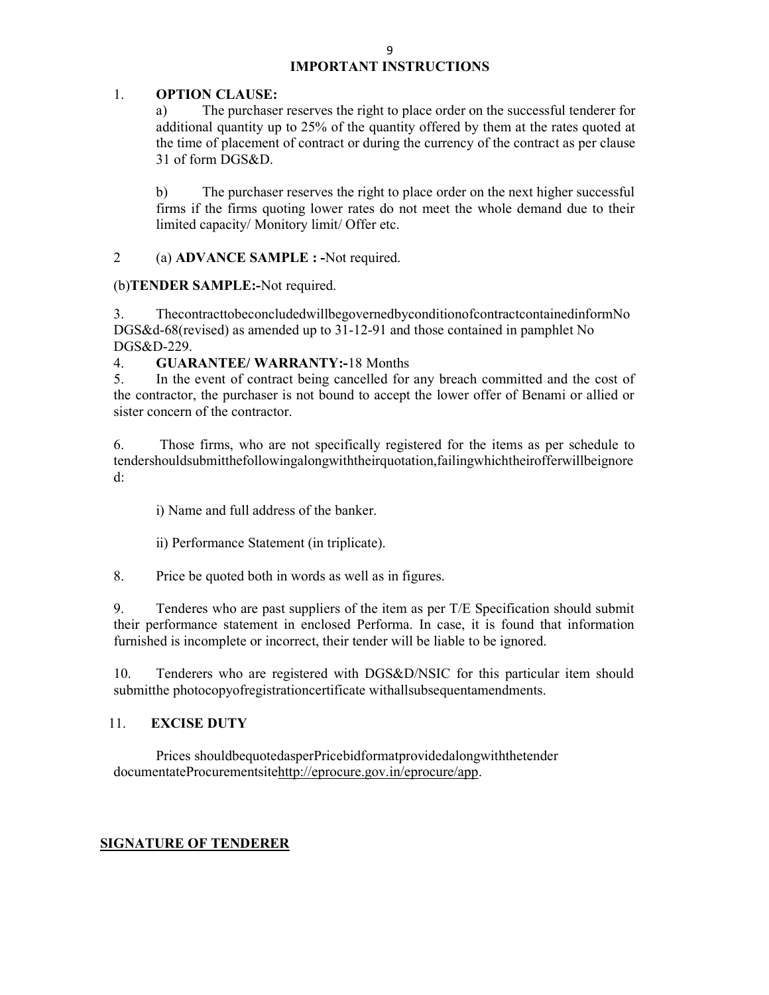## IMPORTANT INSTRUCTIONS

### 1. OPTION CLAUSE:

a) The purchaser reserves the right to place order on the successful tenderer for additional quantity up to 25% of the quantity offered by them at the rates quoted at the time of placement of contract or during the currency of the contract as per clause 31 of form DGS&D.

b) The purchaser reserves the right to place order on the next higher successful firms if the firms quoting lower rates do not meet the whole demand due to their limited capacity/ Monitory limit/ Offer etc.

2 (a) ADVANCE SAMPLE : -Not required.

## (b)TENDER SAMPLE:-Not required.

3. ThecontracttobeconcludedwillbegovernedbyconditionofcontractcontainedinformNo DGS&d-68(revised) as amended up to 31-12-91 and those contained in pamphlet No DGS&D-229.

## 4. GUARANTEE/ WARRANTY:-18 Months

5. In the event of contract being cancelled for any breach committed and the cost of the contractor, the purchaser is not bound to accept the lower offer of Benami or allied or sister concern of the contractor.

6. Those firms, who are not specifically registered for the items as per schedule to tendershouldsubmitthefollowingalongwiththeirquotation,failingwhichtheirofferwillbeignore d:

i) Name and full address of the banker.

ii) Performance Statement (in triplicate).

8. Price be quoted both in words as well as in figures.

9. Tenderes who are past suppliers of the item as per T/E Specification should submit their performance statement in enclosed Performa. In case, it is found that information furnished is incomplete or incorrect, their tender will be liable to be ignored.

10. Tenderers who are registered with DGS&D/NSIC for this particular item should submitthe photocopyofregistrationcertificate withallsubsequentamendments.

## 11. EXCISE DUTY

Prices shouldbequotedasperPricebidformatprovidedalongwiththetender documentateProcurementsitehttp://eprocure.gov.in/eprocure/app.

## SIGNATURE OF TENDERER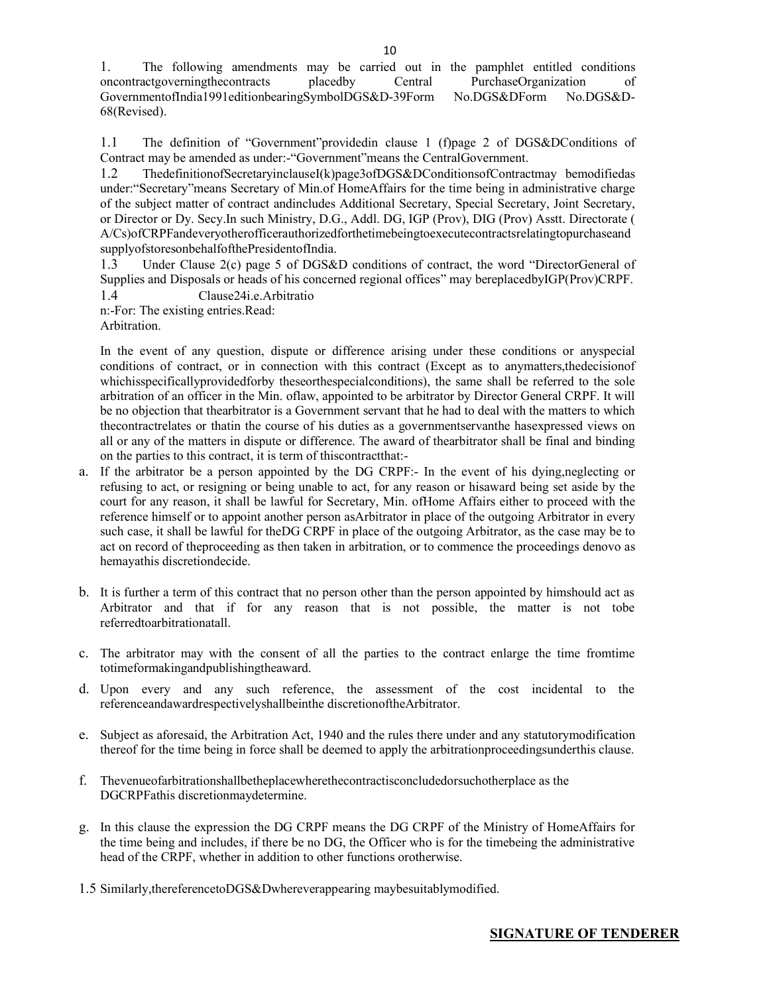1. The following amendments may be carried out in the pamphlet entitled conditions oncontractgoverningthecontracts placedby Central PurchaseOrganization of GovernmentofIndia1991editionbearingSymbolDGS&D-39Form No.DGS&DForm No.DGS&D-68(Revised).

1.1 The definition of "Government"providedin clause 1 (f)page 2 of DGS&DConditions of Contract may be amended as under:-"Government"means the CentralGovernment.

1.2 ThedefinitionofSecretaryinclauseI(k)page3ofDGS&DConditionsofContractmay bemodifiedas under:"Secretary"means Secretary of Min.of HomeAffairs for the time being in administrative charge of the subject matter of contract andincludes Additional Secretary, Special Secretary, Joint Secretary, or Director or Dy. Secy.In such Ministry, D.G., Addl. DG, IGP (Prov), DIG (Prov) Asstt. Directorate ( A/Cs)ofCRPFandeveryotherofficerauthorizedforthetimebeingtoexecutecontractsrelatingtopurchaseand supplyofstoresonbehalfofthePresidentofIndia.

1.3 Under Clause 2(c) page 5 of DGS&D conditions of contract, the word "DirectorGeneral of Supplies and Disposals or heads of his concerned regional offices" may bereplacedbyIGP(Prov)CRPF. 1.4 Clause24i.e.Arbitratio

n:-For: The existing entries.Read:

Arbitration.

In the event of any question, dispute or difference arising under these conditions or anyspecial conditions of contract, or in connection with this contract (Except as to anymatters,thedecisionof whichisspecificallyprovidedforby theseorthespecialconditions), the same shall be referred to the sole arbitration of an officer in the Min. oflaw, appointed to be arbitrator by Director General CRPF. It will be no objection that thearbitrator is a Government servant that he had to deal with the matters to which thecontractrelates or thatin the course of his duties as a governmentservanthe hasexpressed views on all or any of the matters in dispute or difference. The award of thearbitrator shall be final and binding on the parties to this contract, it is term of thiscontractthat:-

- a. If the arbitrator be a person appointed by the DG CRPF:- In the event of his dying,neglecting or refusing to act, or resigning or being unable to act, for any reason or hisaward being set aside by the court for any reason, it shall be lawful for Secretary, Min. ofHome Affairs either to proceed with the reference himself or to appoint another person asArbitrator in place of the outgoing Arbitrator in every such case, it shall be lawful for theDG CRPF in place of the outgoing Arbitrator, as the case may be to act on record of theproceeding as then taken in arbitration, or to commence the proceedings denovo as hemayathis discretiondecide.
- b. It is further a term of this contract that no person other than the person appointed by himshould act as Arbitrator and that if for any reason that is not possible, the matter is not tobe referredtoarbitrationatall.
- c. The arbitrator may with the consent of all the parties to the contract enlarge the time fromtime totimeformakingandpublishingtheaward.
- d. Upon every and any such reference, the assessment of the cost incidental to the referenceandawardrespectivelyshallbeinthe discretionoftheArbitrator.
- e. Subject as aforesaid, the Arbitration Act, 1940 and the rules there under and any statutorymodification thereof for the time being in force shall be deemed to apply the arbitrationproceedingsunderthis clause.
- f. Thevenueofarbitrationshallbetheplacewherethecontractisconcludedorsuchotherplace as the DGCRPFathis discretionmaydetermine.
- g. In this clause the expression the DG CRPF means the DG CRPF of the Ministry of HomeAffairs for the time being and includes, if there be no DG, the Officer who is for the timebeing the administrative head of the CRPF, whether in addition to other functions orotherwise.
- 1.5 Similarly,thereferencetoDGS&Dwhereverappearing maybesuitablymodified.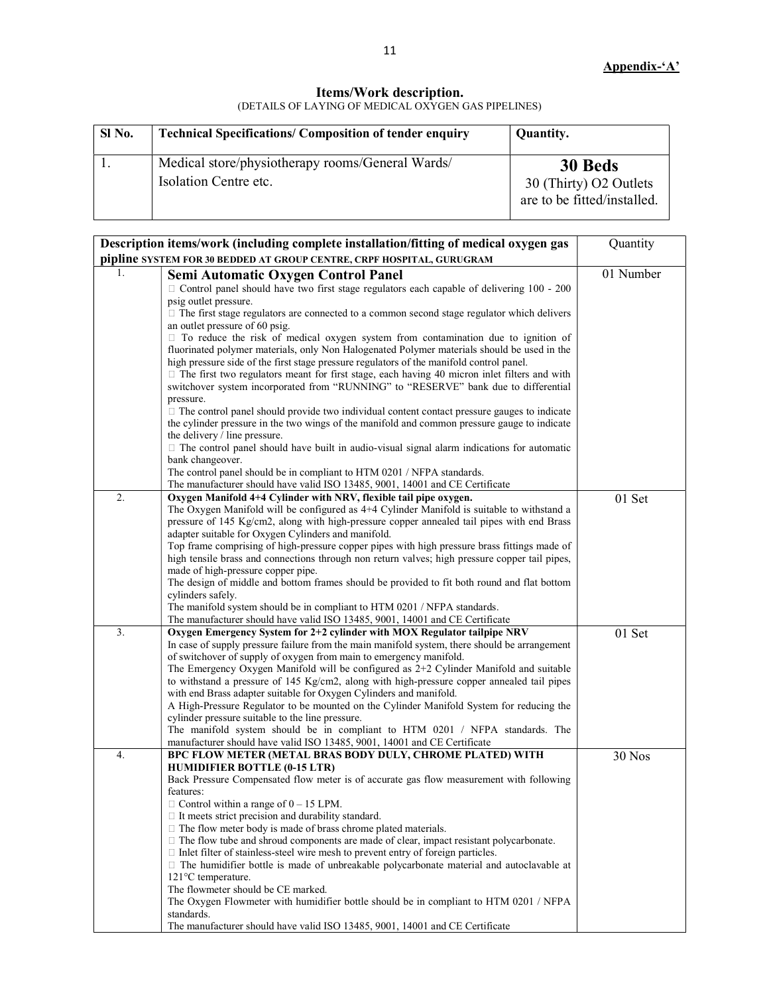#### Items/Work description. (DETAILS OF LAYING OF MEDICAL OXYGEN GAS PIPELINES)

| SI No. | <b>Technical Specifications/ Composition of tender enquiry</b>            | Quantity.                                                        |
|--------|---------------------------------------------------------------------------|------------------------------------------------------------------|
|        | Medical store/physiotherapy rooms/General Wards/<br>Isolation Centre etc. | 30 Beds<br>30 (Thirty) O2 Outlets<br>are to be fitted/installed. |

| Description items/work (including complete installation/fitting of medical oxygen gas                                                                          | Quantity  |
|----------------------------------------------------------------------------------------------------------------------------------------------------------------|-----------|
| pipline SYSTEM FOR 30 BEDDED AT GROUP CENTRE, CRPF HOSPITAL, GURUGRAM                                                                                          |           |
| 1.<br>Semi Automatic Oxygen Control Panel                                                                                                                      | 01 Number |
| $\Box$ Control panel should have two first stage regulators each capable of delivering 100 - 200                                                               |           |
| psig outlet pressure.                                                                                                                                          |           |
| $\Box$ The first stage regulators are connected to a common second stage regulator which delivers                                                              |           |
| an outlet pressure of 60 psig.                                                                                                                                 |           |
| $\Box$ To reduce the risk of medical oxygen system from contamination due to ignition of                                                                       |           |
| fluorinated polymer materials, only Non Halogenated Polymer materials should be used in the                                                                    |           |
| high pressure side of the first stage pressure regulators of the manifold control panel.                                                                       |           |
| $\Box$ The first two regulators meant for first stage, each having 40 micron inlet filters and with                                                            |           |
| switchover system incorporated from "RUNNING" to "RESERVE" bank due to differential                                                                            |           |
| pressure.                                                                                                                                                      |           |
| $\Box$ The control panel should provide two individual content contact pressure gauges to indicate                                                             |           |
| the cylinder pressure in the two wings of the manifold and common pressure gauge to indicate                                                                   |           |
| the delivery / line pressure.                                                                                                                                  |           |
| $\Box$ The control panel should have built in audio-visual signal alarm indications for automatic                                                              |           |
| bank changeover.                                                                                                                                               |           |
| The control panel should be in compliant to HTM 0201 / NFPA standards.                                                                                         |           |
| The manufacturer should have valid ISO 13485, 9001, 14001 and CE Certificate<br>2.<br>Oxygen Manifold 4+4 Cylinder with NRV, flexible tail pipe oxygen.        |           |
| The Oxygen Manifold will be configured as 4+4 Cylinder Manifold is suitable to withstand a                                                                     | 01 Set    |
| pressure of 145 Kg/cm2, along with high-pressure copper annealed tail pipes with end Brass                                                                     |           |
| adapter suitable for Oxygen Cylinders and manifold.                                                                                                            |           |
| Top frame comprising of high-pressure copper pipes with high pressure brass fittings made of                                                                   |           |
| high tensile brass and connections through non return valves; high pressure copper tail pipes,                                                                 |           |
| made of high-pressure copper pipe.                                                                                                                             |           |
| The design of middle and bottom frames should be provided to fit both round and flat bottom                                                                    |           |
| cylinders safely.                                                                                                                                              |           |
| The manifold system should be in compliant to HTM 0201 / NFPA standards.                                                                                       |           |
| The manufacturer should have valid ISO 13485, 9001, 14001 and CE Certificate                                                                                   |           |
| 3.<br>Oxygen Emergency System for 2+2 cylinder with MOX Regulator tailpipe NRV                                                                                 | 01 Set    |
| In case of supply pressure failure from the main manifold system, there should be arrangement                                                                  |           |
| of switchover of supply of oxygen from main to emergency manifold.                                                                                             |           |
| The Emergency Oxygen Manifold will be configured as 2+2 Cylinder Manifold and suitable                                                                         |           |
| to withstand a pressure of 145 Kg/cm2, along with high-pressure copper annealed tail pipes                                                                     |           |
| with end Brass adapter suitable for Oxygen Cylinders and manifold.<br>A High-Pressure Regulator to be mounted on the Cylinder Manifold System for reducing the |           |
| cylinder pressure suitable to the line pressure.                                                                                                               |           |
| The manifold system should be in compliant to HTM 0201 / NFPA standards. The                                                                                   |           |
| manufacturer should have valid ISO 13485, 9001, 14001 and CE Certificate                                                                                       |           |
| 4.<br>BPC FLOW METER (METAL BRAS BODY DULY, CHROME PLATED) WITH                                                                                                | 30 Nos    |
| <b>HUMIDIFIER BOTTLE (0-15 LTR)</b>                                                                                                                            |           |
| Back Pressure Compensated flow meter is of accurate gas flow measurement with following                                                                        |           |
| features:                                                                                                                                                      |           |
| $\Box$ Control within a range of $0 - 15$ LPM.                                                                                                                 |           |
| $\Box$ It meets strict precision and durability standard.                                                                                                      |           |
| $\Box$ The flow meter body is made of brass chrome plated materials.                                                                                           |           |
| $\Box$ The flow tube and shroud components are made of clear, impact resistant polycarbonate.                                                                  |           |
| $\Box$ Inlet filter of stainless-steel wire mesh to prevent entry of foreign particles.                                                                        |           |
| $\Box$ The humidifier bottle is made of unbreakable polycarbonate material and autoclavable at                                                                 |           |
| 121°C temperature.                                                                                                                                             |           |
| The flowmeter should be CE marked.                                                                                                                             |           |
| The Oxygen Flowmeter with humidifier bottle should be in compliant to HTM 0201 / NFPA<br>standards.                                                            |           |
| The manufacturer should have valid ISO 13485, 9001, 14001 and CE Certificate                                                                                   |           |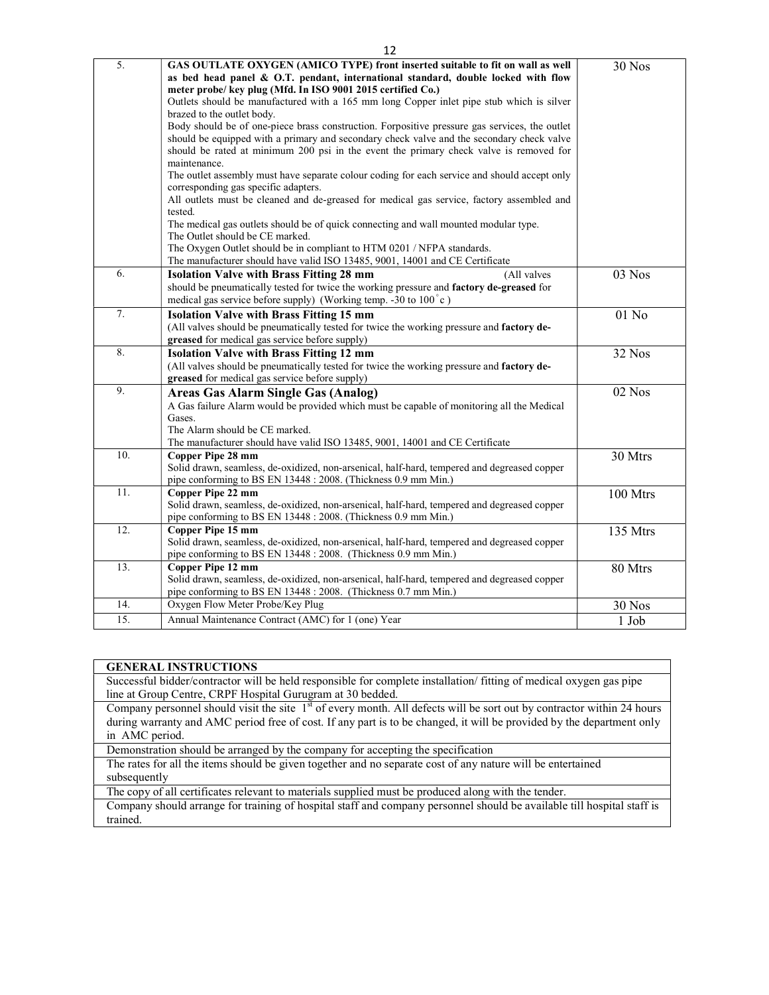| 5.  | GAS OUTLATE OXYGEN (AMICO TYPE) front inserted suitable to fit on wall as well<br>as bed head panel & O.T. pendant, international standard, double locked with flow<br>meter probe/ key plug (Mfd. In ISO 9001 2015 certified Co.)<br>Outlets should be manufactured with a 165 mm long Copper inlet pipe stub which is silver<br>brazed to the outlet body.<br>Body should be of one-piece brass construction. Forpositive pressure gas services, the outlet<br>should be equipped with a primary and secondary check valve and the secondary check valve<br>should be rated at minimum 200 psi in the event the primary check valve is removed for<br>maintenance.<br>The outlet assembly must have separate colour coding for each service and should accept only<br>corresponding gas specific adapters.<br>All outlets must be cleaned and de-greased for medical gas service, factory assembled and<br>tested.<br>The medical gas outlets should be of quick connecting and wall mounted modular type. | 30 Nos   |
|-----|--------------------------------------------------------------------------------------------------------------------------------------------------------------------------------------------------------------------------------------------------------------------------------------------------------------------------------------------------------------------------------------------------------------------------------------------------------------------------------------------------------------------------------------------------------------------------------------------------------------------------------------------------------------------------------------------------------------------------------------------------------------------------------------------------------------------------------------------------------------------------------------------------------------------------------------------------------------------------------------------------------------|----------|
|     | The Outlet should be CE marked.<br>The Oxygen Outlet should be in compliant to HTM 0201 / NFPA standards.<br>The manufacturer should have valid ISO 13485, 9001, 14001 and CE Certificate                                                                                                                                                                                                                                                                                                                                                                                                                                                                                                                                                                                                                                                                                                                                                                                                                    |          |
| 6.  | <b>Isolation Valve with Brass Fitting 28 mm</b><br>(All valves<br>should be pneumatically tested for twice the working pressure and factory de-greased for<br>medical gas service before supply) (Working temp. -30 to 100°c)                                                                                                                                                                                                                                                                                                                                                                                                                                                                                                                                                                                                                                                                                                                                                                                | 03 Nos   |
| 7.  | <b>Isolation Valve with Brass Fitting 15 mm</b><br>(All valves should be pneumatically tested for twice the working pressure and factory de-<br>greased for medical gas service before supply)                                                                                                                                                                                                                                                                                                                                                                                                                                                                                                                                                                                                                                                                                                                                                                                                               | $01$ No  |
| 8.  | <b>Isolation Valve with Brass Fitting 12 mm</b><br>(All valves should be pneumatically tested for twice the working pressure and factory de-<br>greased for medical gas service before supply)                                                                                                                                                                                                                                                                                                                                                                                                                                                                                                                                                                                                                                                                                                                                                                                                               | 32 Nos   |
| 9.  | <b>Areas Gas Alarm Single Gas (Analog)</b><br>A Gas failure Alarm would be provided which must be capable of monitoring all the Medical<br>Gases.<br>The Alarm should be CE marked.<br>The manufacturer should have valid ISO 13485, 9001, 14001 and CE Certificate                                                                                                                                                                                                                                                                                                                                                                                                                                                                                                                                                                                                                                                                                                                                          | 02 Nos   |
| 10. | Copper Pipe 28 mm<br>Solid drawn, seamless, de-oxidized, non-arsenical, half-hard, tempered and degreased copper<br>pipe conforming to BS EN 13448 : 2008. (Thickness 0.9 mm Min.)                                                                                                                                                                                                                                                                                                                                                                                                                                                                                                                                                                                                                                                                                                                                                                                                                           | 30 Mtrs  |
| 11. | Copper Pipe 22 mm<br>Solid drawn, seamless, de-oxidized, non-arsenical, half-hard, tempered and degreased copper<br>pipe conforming to BS EN 13448 : 2008. (Thickness 0.9 mm Min.)                                                                                                                                                                                                                                                                                                                                                                                                                                                                                                                                                                                                                                                                                                                                                                                                                           | 100 Mtrs |
| 12. | Copper Pipe 15 mm<br>Solid drawn, seamless, de-oxidized, non-arsenical, half-hard, tempered and degreased copper<br>pipe conforming to BS EN 13448 : 2008. (Thickness 0.9 mm Min.)                                                                                                                                                                                                                                                                                                                                                                                                                                                                                                                                                                                                                                                                                                                                                                                                                           | 135 Mtrs |
| 13. | Copper Pipe 12 mm<br>Solid drawn, seamless, de-oxidized, non-arsenical, half-hard, tempered and degreased copper<br>pipe conforming to BS EN 13448 : 2008. (Thickness 0.7 mm Min.)                                                                                                                                                                                                                                                                                                                                                                                                                                                                                                                                                                                                                                                                                                                                                                                                                           | 80 Mtrs  |
| 14. | Oxygen Flow Meter Probe/Key Plug                                                                                                                                                                                                                                                                                                                                                                                                                                                                                                                                                                                                                                                                                                                                                                                                                                                                                                                                                                             | 30 Nos   |
| 15. | Annual Maintenance Contract (AMC) for 1 (one) Year                                                                                                                                                                                                                                                                                                                                                                                                                                                                                                                                                                                                                                                                                                                                                                                                                                                                                                                                                           | 1 Job    |

| <b>GENERAL INSTRUCTIONS</b>                                                                                                        |  |
|------------------------------------------------------------------------------------------------------------------------------------|--|
| Successful bidder/contractor will be held responsible for complete installation/ fitting of medical oxygen gas pipe                |  |
| line at Group Centre, CRPF Hospital Gurugram at 30 bedded.                                                                         |  |
| Company personnel should visit the site 1 <sup>st</sup> of every month. All defects will be sort out by contractor within 24 hours |  |

during warranty and AMC period free of cost. If any part is to be changed, it will be provided by the department only in AMC period.

Demonstration should be arranged by the company for accepting the specification

The rates for all the items should be given together and no separate cost of any nature will be entertained subsequently

The copy of all certificates relevant to materials supplied must be produced along with the tender.

Company should arrange for training of hospital staff and company personnel should be available till hospital staff is trained.

#### 12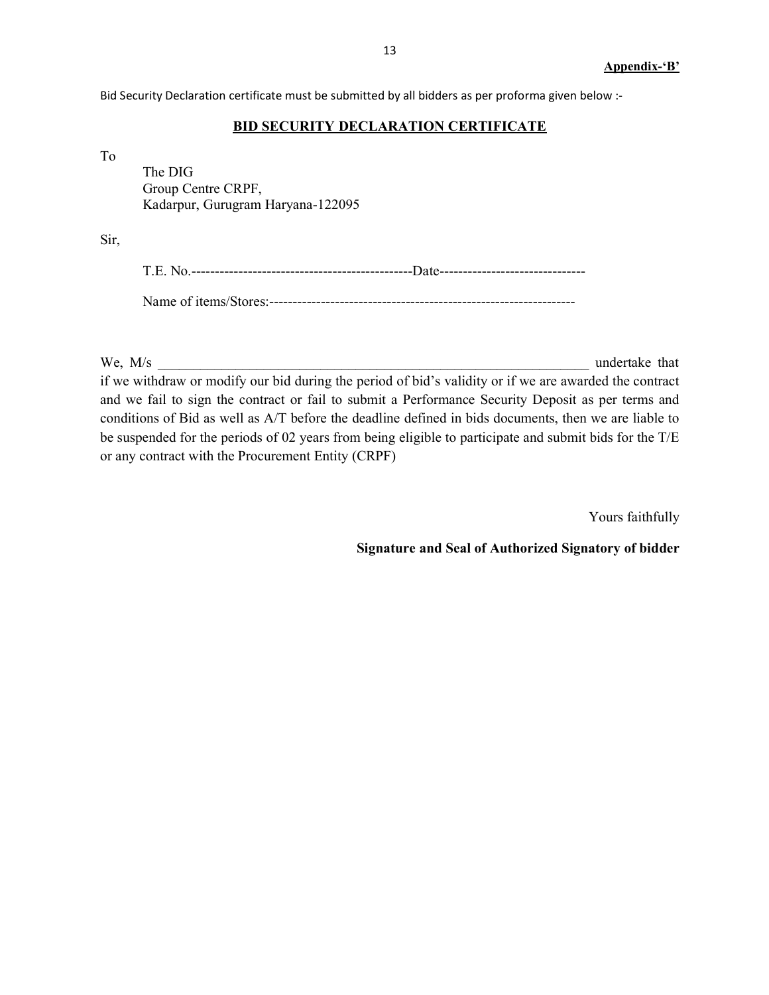Bid Security Declaration certificate must be submitted by all bidders as per proforma given below :-

#### **BID SECURITY DECLARATION CERTIFICATE**

To

 The DIG Group Centre CRPF, Kadarpur, Gurugram Haryana-122095

Sir,

We,  $M/s$  undertake that if we withdraw or modify our bid during the period of bid's validity or if we are awarded the contract and we fail to sign the contract or fail to submit a Performance Security Deposit as per terms and conditions of Bid as well as A/T before the deadline defined in bids documents, then we are liable to be suspended for the periods of 02 years from being eligible to participate and submit bids for the T/E or any contract with the Procurement Entity (CRPF)

Yours faithfully

Signature and Seal of Authorized Signatory of bidder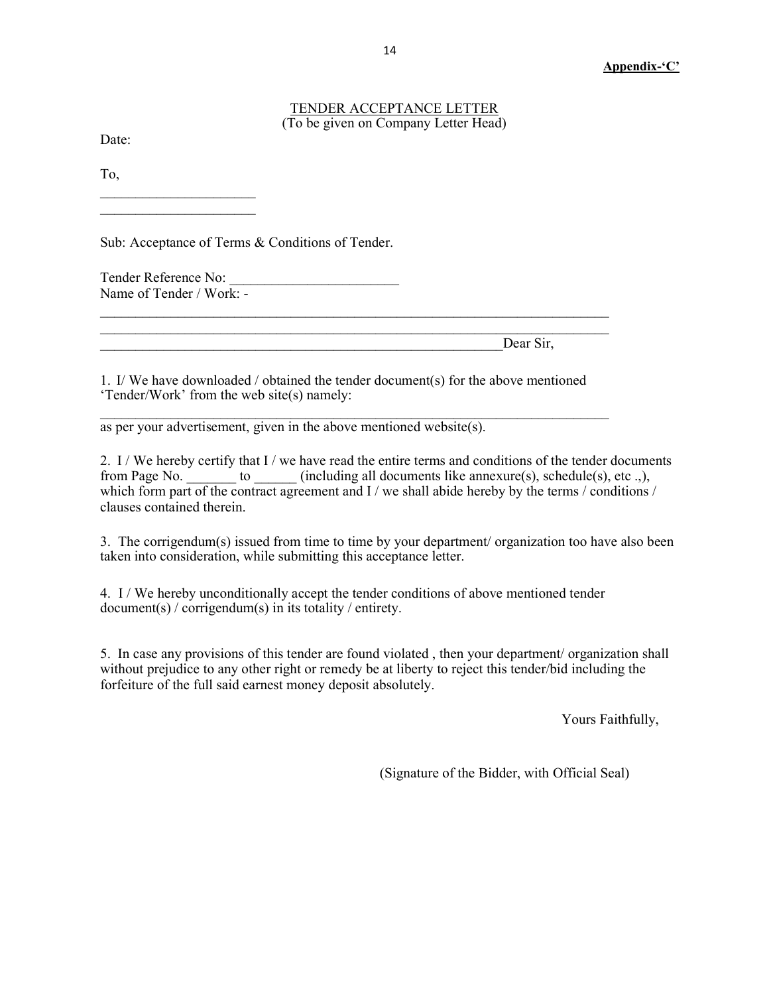#### TENDER ACCEPTANCE LETTER (To be given on Company Letter Head)

Date:

To,

Sub: Acceptance of Terms & Conditions of Tender.

Tender Reference No: Name of Tender / Work: -

 $\mathcal{L}_\text{max}$ 

Dear Sir,

1. I/ We have downloaded / obtained the tender document(s) for the above mentioned 'Tender/Work' from the web site(s) namely:

 $\mathcal{L}_\text{max} = \mathcal{L}_\text{max} = \mathcal{L}_\text{max} = \mathcal{L}_\text{max} = \mathcal{L}_\text{max} = \mathcal{L}_\text{max} = \mathcal{L}_\text{max} = \mathcal{L}_\text{max} = \mathcal{L}_\text{max} = \mathcal{L}_\text{max} = \mathcal{L}_\text{max} = \mathcal{L}_\text{max} = \mathcal{L}_\text{max} = \mathcal{L}_\text{max} = \mathcal{L}_\text{max} = \mathcal{L}_\text{max} = \mathcal{L}_\text{max} = \mathcal{L}_\text{max} = \mathcal{$ 

 $\_$  , and the contribution of the contribution of  $\mathcal{L}_\mathcal{A}$  , and the contribution of  $\mathcal{L}_\mathcal{A}$  $\_$  , and the contribution of the contribution of  $\mathcal{L}_\mathcal{A}$  , and the contribution of  $\mathcal{L}_\mathcal{A}$ 

as per your advertisement, given in the above mentioned website(s).

2. I / We hereby certify that I / we have read the entire terms and conditions of the tender documents from Page No. \_\_\_\_\_\_\_ to \_\_\_\_\_\_ (including all documents like annexure(s), schedule(s), etc .,), which form part of the contract agreement and I / we shall abide hereby by the terms / conditions / clauses contained therein.

3. The corrigendum(s) issued from time to time by your department/ organization too have also been taken into consideration, while submitting this acceptance letter.

4. I / We hereby unconditionally accept the tender conditions of above mentioned tender document(s) / corrigendum(s) in its totality / entirety.

5. In case any provisions of this tender are found violated , then your department/ organization shall without prejudice to any other right or remedy be at liberty to reject this tender/bid including the forfeiture of the full said earnest money deposit absolutely.

Yours Faithfully,

(Signature of the Bidder, with Official Seal)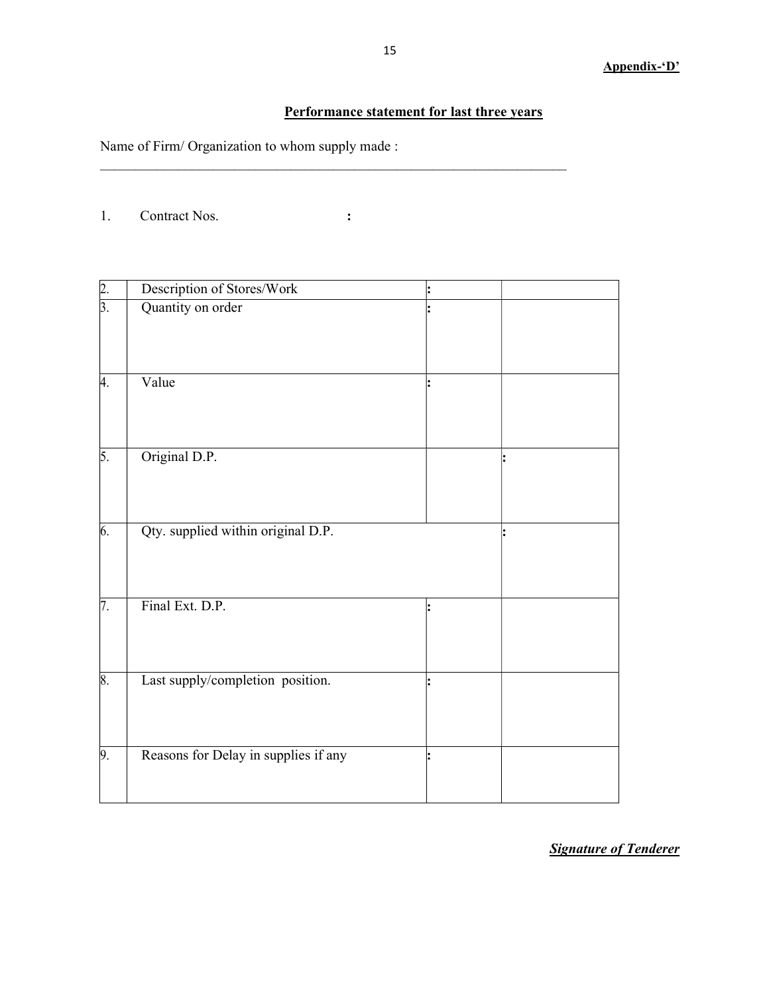## Performance statement for last three years

Name of Firm/ Organization to whom supply made :

1. Contract Nos. :

 $\_$  , and the set of the set of the set of the set of the set of the set of the set of the set of the set of the set of the set of the set of the set of the set of the set of the set of the set of the set of the set of th

| $\frac{2}{3}$ .  | Description of Stores/Work           |  |
|------------------|--------------------------------------|--|
|                  | Quantity on order                    |  |
| 4.               | Value                                |  |
| 5.               | Original D.P.                        |  |
| 6.               | Qty. supplied within original D.P.   |  |
| $\overline{7}$ . | Final Ext. D.P.                      |  |
| 8.               | Last supply/completion position.     |  |
| 9.               | Reasons for Delay in supplies if any |  |

**Signature of Tenderer**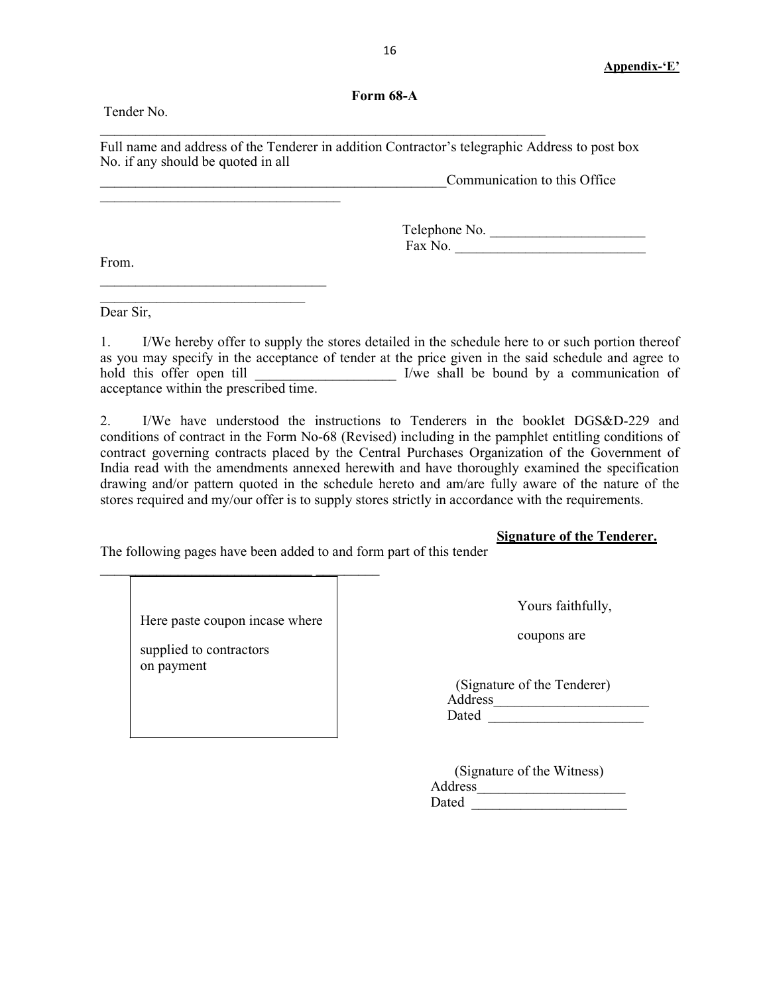### Form 68-A

Full name and address of the Tenderer in addition Contractor's telegraphic Address to post box No. if any should be quoted in all

 $\mathcal{L}_\text{max} = \frac{1}{2} \sum_{i=1}^n \mathcal{L}_\text{max}(\mathcal{L}_i - \mathcal{L}_i)$ 

Communication to this Office

Telephone No. \_\_\_\_\_\_\_\_\_\_\_\_\_\_\_\_\_\_\_\_\_\_ Fax No.

From.

Tender No.

 $\mathcal{L}_\text{max}$  , we can also the contract of the contract of the contract of the contract of the contract of the contract of the contract of the contract of the contract of the contract of the contract of the contract of t

 $\overline{\phantom{a}}$  , where  $\overline{\phantom{a}}$  , where  $\overline{\phantom{a}}$  ,  $\overline{\phantom{a}}$  ,  $\overline{\phantom{a}}$  ,  $\overline{\phantom{a}}$  ,  $\overline{\phantom{a}}$  ,  $\overline{\phantom{a}}$  ,  $\overline{\phantom{a}}$  ,  $\overline{\phantom{a}}$  ,  $\overline{\phantom{a}}$  ,  $\overline{\phantom{a}}$  ,  $\overline{\phantom{a}}$  ,  $\overline{\phantom{a}}$  ,  $\overline{\phantom{a}}$  ,  $\mathcal{L}_\text{max}$ 

Dear Sir,

1. I/We hereby offer to supply the stores detailed in the schedule here to or such portion thereof as you may specify in the acceptance of tender at the price given in the said schedule and agree to hold this offer open till **Exercise 2** I/we shall be bound by a communication of acceptance within the prescribed time.

2. I/We have understood the instructions to Tenderers in the booklet DGS&D-229 and conditions of contract in the Form No-68 (Revised) including in the pamphlet entitling conditions of contract governing contracts placed by the Central Purchases Organization of the Government of India read with the amendments annexed herewith and have thoroughly examined the specification drawing and/or pattern quoted in the schedule hereto and am/are fully aware of the nature of the stores required and my/our offer is to supply stores strictly in accordance with the requirements.

### Signature of the Tenderer.

The following pages have been added to and form part of this tender

 $\mathcal{L}_\text{max}$ 

| Here paste coupon incase where<br>supplied to contractors<br>on payment | Yours faithfully,<br>coupons are                |
|-------------------------------------------------------------------------|-------------------------------------------------|
|                                                                         | (Signature of the Tenderer)<br>Address<br>Dated |

| (Signature of the Witness) |  |
|----------------------------|--|
| Address                    |  |
| Dated                      |  |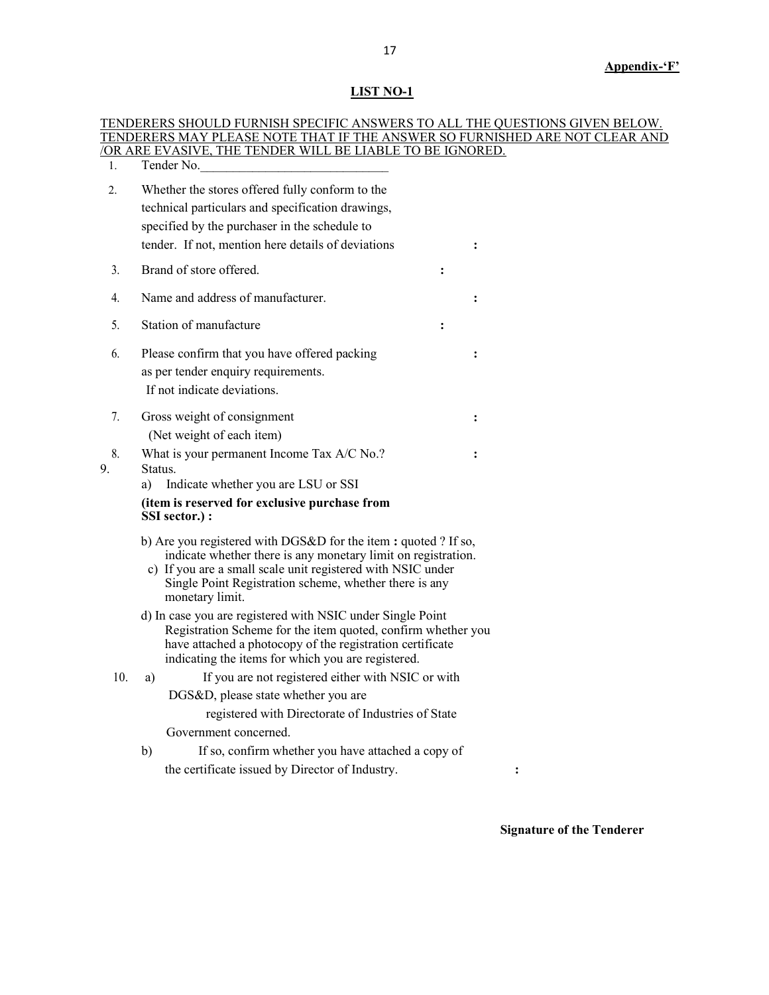## LIST NO-1

|     | TENDERERS SHOULD FURNISH SPECIFIC ANSWERS TO ALL THE QUESTIONS GIVEN BELOW.<br>TENDERERS MAY PLEASE NOTE THAT IF THE ANSWER SO FURNISHED ARE NOT CLEAR AND |  |  |  |  |  |  |
|-----|------------------------------------------------------------------------------------------------------------------------------------------------------------|--|--|--|--|--|--|
|     | <u>/OR ARE EVASIVE, THE TENDER WILL BE LIABLE TO BE IGNORED.</u>                                                                                           |  |  |  |  |  |  |
| 1.  | Tender No.                                                                                                                                                 |  |  |  |  |  |  |
| 2.  | Whether the stores offered fully conform to the                                                                                                            |  |  |  |  |  |  |
|     | technical particulars and specification drawings,                                                                                                          |  |  |  |  |  |  |
|     | specified by the purchaser in the schedule to                                                                                                              |  |  |  |  |  |  |
|     | tender. If not, mention here details of deviations                                                                                                         |  |  |  |  |  |  |
| 3.  | Brand of store offered.<br>$\ddot{\cdot}$                                                                                                                  |  |  |  |  |  |  |
| 4.  | Name and address of manufacturer.                                                                                                                          |  |  |  |  |  |  |
| 5.  | Station of manufacture<br>:                                                                                                                                |  |  |  |  |  |  |
| 6.  | Please confirm that you have offered packing                                                                                                               |  |  |  |  |  |  |
|     | as per tender enquiry requirements.                                                                                                                        |  |  |  |  |  |  |
|     | If not indicate deviations.                                                                                                                                |  |  |  |  |  |  |
| 7.  | Gross weight of consignment                                                                                                                                |  |  |  |  |  |  |
|     | (Net weight of each item)                                                                                                                                  |  |  |  |  |  |  |
| 8.  | What is your permanent Income Tax A/C No.?                                                                                                                 |  |  |  |  |  |  |
| 9.  | Status.<br>Indicate whether you are LSU or SSI<br>a)                                                                                                       |  |  |  |  |  |  |
|     | (item is reserved for exclusive purchase from                                                                                                              |  |  |  |  |  |  |
|     | SSI sector.) :                                                                                                                                             |  |  |  |  |  |  |
|     | b) Are you registered with DGS&D for the item: quoted? If so,                                                                                              |  |  |  |  |  |  |
|     | indicate whether there is any monetary limit on registration.<br>c) If you are a small scale unit registered with NSIC under                               |  |  |  |  |  |  |
|     | Single Point Registration scheme, whether there is any<br>monetary limit.                                                                                  |  |  |  |  |  |  |
|     | d) In case you are registered with NSIC under Single Point                                                                                                 |  |  |  |  |  |  |
|     | Registration Scheme for the item quoted, confirm whether you<br>have attached a photocopy of the registration certificate                                  |  |  |  |  |  |  |
|     | indicating the items for which you are registered.                                                                                                         |  |  |  |  |  |  |
| 10. | If you are not registered either with NSIC or with<br>a)                                                                                                   |  |  |  |  |  |  |
|     | DGS&D, please state whether you are                                                                                                                        |  |  |  |  |  |  |
|     | registered with Directorate of Industries of State                                                                                                         |  |  |  |  |  |  |
|     | Government concerned.                                                                                                                                      |  |  |  |  |  |  |
|     | If so, confirm whether you have attached a copy of<br>b)                                                                                                   |  |  |  |  |  |  |
|     | the certificate issued by Director of Industry.<br>$\ddot{\cdot}$                                                                                          |  |  |  |  |  |  |

Signature of the Tenderer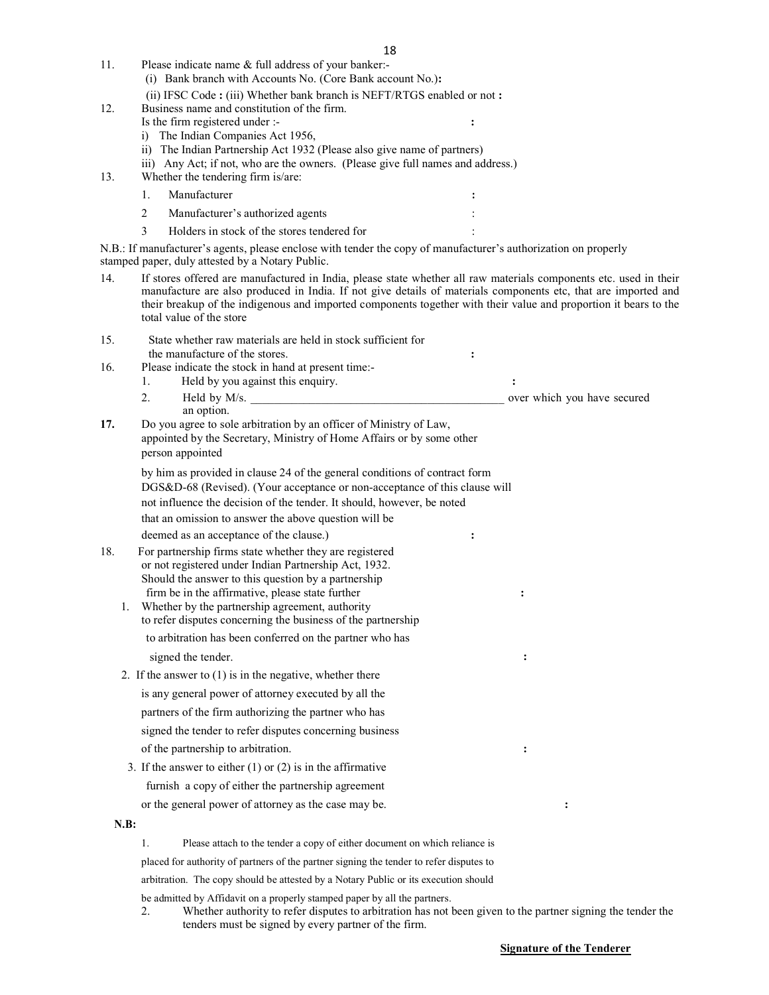- (i) Bank branch with Accounts No. (Core Bank account No.): (ii) IFSC Code : (iii) Whether bank branch is NEFT/RTGS enabled or not : 12. Business name and constitution of the firm. Is the firm registered under :i) The Indian Companies Act 1956,
	- ii) The Indian Partnership Act 1932 (Please also give name of partners)
	- iii) Any Act; if not, who are the owners. (Please give full names and address.)
- 13. Whether the tendering firm is/are:
	- 1. Manufacturer : the state of the state of the state of the state of the state of the state of the state of the state of the state of the state of the state of the state of the state of the state of the state of the state 2 Manufacturer's authorized agents :
	- 3 Holders in stock of the stores tendered for :

11. Please indicate name & full address of your banker:-

N.B.: If manufacturer's agents, please enclose with tender the copy of manufacturer's authorization on properly stamped paper, duly attested by a Notary Public.

- 14. If stores offered are manufactured in India, please state whether all raw materials components etc. used in their manufacture are also produced in India. If not give details of materials components etc, that are imported and their breakup of the indigenous and imported components together with their value and proportion it bears to the total value of the store
- 15. State whether raw materials are held in stock sufficient for the manufacture of the stores.  $\cdot$ 16. Please indicate the stock in hand at present time:- 1. Held by you against this enquiry.  $\cdot$  : 2. Held by M/s. **Example 2.** Held by M/s. an option. 17. Do you agree to sole arbitration by an officer of Ministry of Law, appointed by the Secretary, Ministry of Home Affairs or by some other person appointed by him as provided in clause 24 of the general conditions of contract form DGS&D-68 (Revised). (Your acceptance or non-acceptance of this clause will not influence the decision of the tender. It should, however, be noted that an omission to answer the above question will be deemed as an acceptance of the clause.)  $\cdot$ 18. For partnership firms state whether they are registered or not registered under Indian Partnership Act, 1932. Should the answer to this question by a partnership firm be in the affirmative, please state further : 1. Whether by the partnership agreement, authority to refer disputes concerning the business of the partnership to arbitration has been conferred on the partner who has signed the tender.  $\cdot$ 2. If the answer to (1) is in the negative, whether there is any general power of attorney executed by all the partners of the firm authorizing the partner who has signed the tender to refer disputes concerning business of the partnership to arbitration. : 3. If the answer to either  $(1)$  or  $(2)$  is in the affirmative furnish a copy of either the partnership agreement or the general power of attorney as the case may be. : N.B: 1. Please attach to the tender a copy of either document on which reliance is placed for authority of partners of the partner signing the tender to refer disputes to arbitration. The copy should be attested by a Notary Public or its execution should
	- be admitted by Affidavit on a properly stamped paper by all the partners.
	- 2. Whether authority to refer disputes to arbitration has not been given to the partner signing the tender the tenders must be signed by every partner of the firm.

#### Signature of the Tenderer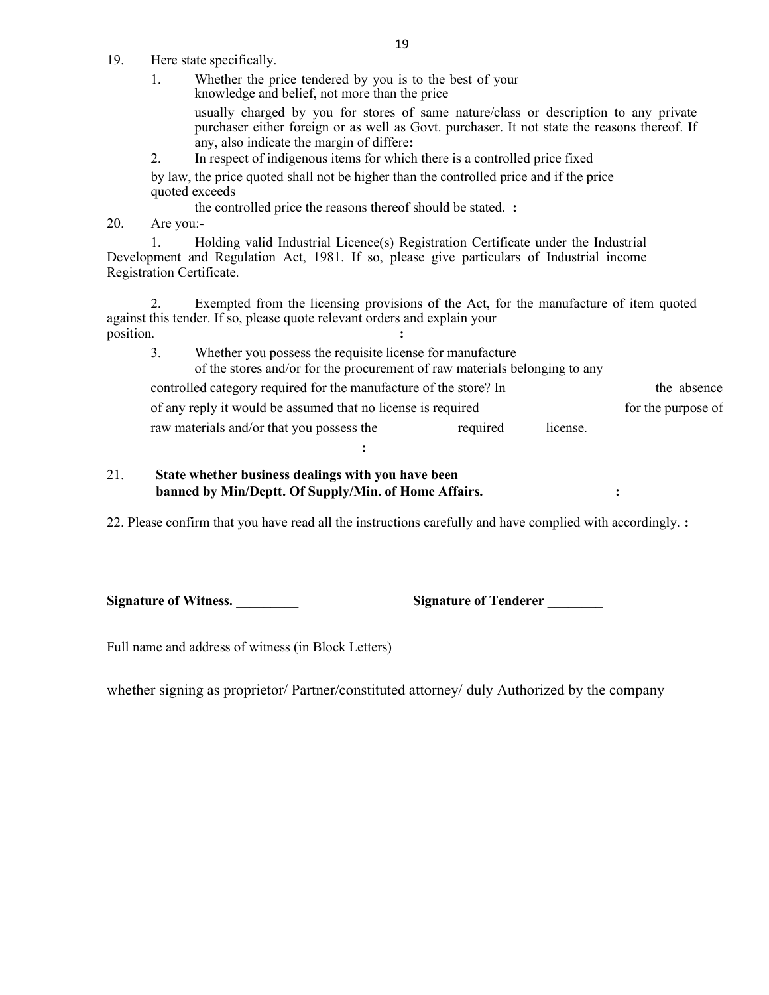- 19. Here state specifically.
	- 1. Whether the price tendered by you is to the best of your knowledge and belief, not more than the price

usually charged by you for stores of same nature/class or description to any private purchaser either foreign or as well as Govt. purchaser. It not state the reasons thereof. If any, also indicate the margin of differe:

2. In respect of indigenous items for which there is a controlled price fixed

by law, the price quoted shall not be higher than the controlled price and if the price quoted exceeds

the controlled price the reasons thereof should be stated. :

20. Are you:-

1. Holding valid Industrial Licence(s) Registration Certificate under the Industrial Development and Regulation Act, 1981. If so, please give particulars of Industrial income Registration Certificate.

2. Exempted from the licensing provisions of the Act, for the manufacture of item quoted against this tender. If so, please quote relevant orders and explain your position.

3. Whether you possess the requisite license for manufacture of the stores and/or for the procurement of raw materials belonging to any controlled category required for the manufacture of the store? In the absence of any reply it would be assumed that no license is required for the purpose of raw materials and/or that you possess the required license.

### 21. State whether business dealings with you have been banned by Min/Deptt. Of Supply/Min. of Home Affairs.  $\cdot$  :

22. Please confirm that you have read all the instructions carefully and have complied with accordingly. :

:

Signature of Witness.  $\qquad \qquad$  Signature of Tenderer  $\qquad \qquad$ 

Full name and address of witness (in Block Letters)

whether signing as proprietor/ Partner/constituted attorney/ duly Authorized by the company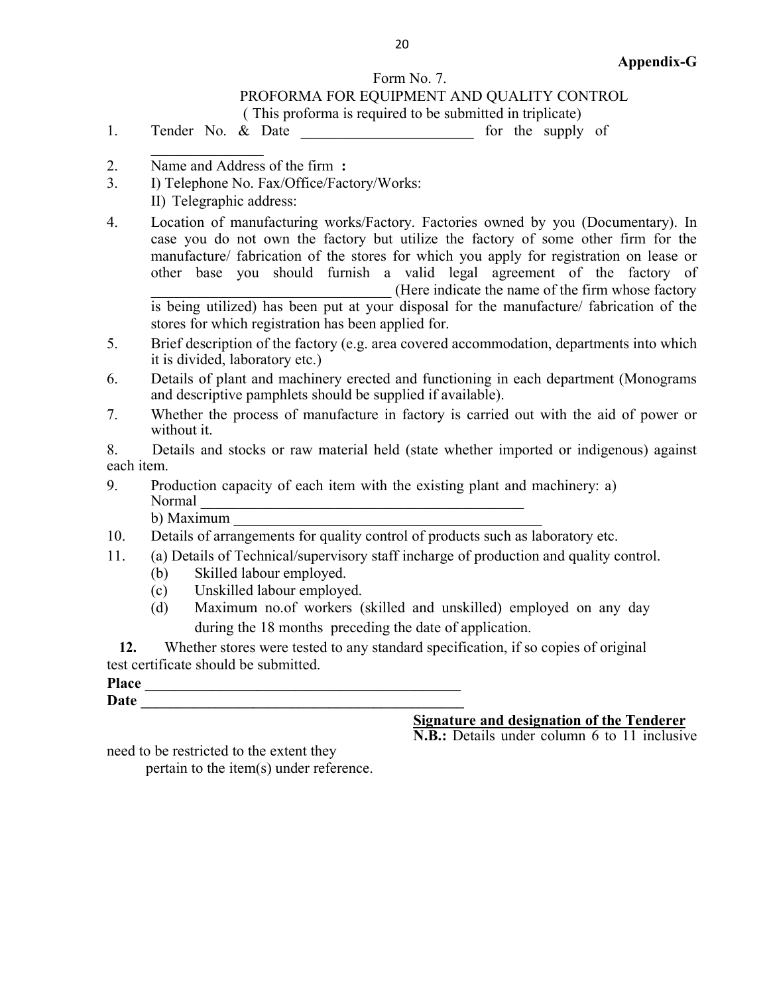# Form No. 7.

## PROFORMA FOR EQUIPMENT AND QUALITY CONTROL

( This proforma is required to be submitted in triplicate)

1. Tender No. & Date **Example 1.** for the supply of

- 2. Name and Address of the firm :
- 3. I) Telephone No. Fax/Office/Factory/Works: II) Telegraphic address:
- 4. Location of manufacturing works/Factory. Factories owned by you (Documentary). In case you do not own the factory but utilize the factory of some other firm for the manufacture/ fabrication of the stores for which you apply for registration on lease or other base you should furnish a valid legal agreement of the factory of \_\_\_\_\_\_\_\_\_\_\_\_\_\_\_\_\_\_\_\_\_\_\_\_\_\_\_\_\_\_\_\_ (Here indicate the name of the firm whose factory is being utilized) has been put at your disposal for the manufacture/ fabrication of the stores for which registration has been applied for.
- 5. Brief description of the factory (e.g. area covered accommodation, departments into which it is divided, laboratory etc.)
- 6. Details of plant and machinery erected and functioning in each department (Monograms and descriptive pamphlets should be supplied if available).
- 7. Whether the process of manufacture in factory is carried out with the aid of power or without it.

8. Details and stocks or raw material held (state whether imported or indigenous) against each item.

9. Production capacity of each item with the existing plant and machinery: a) Normal \_\_\_\_\_\_\_\_\_\_\_\_\_\_\_\_\_\_\_\_\_\_\_\_\_\_\_\_\_\_\_\_\_\_\_\_\_\_\_\_\_\_\_  $b)$  Maximum

10. Details of arrangements for quality control of products such as laboratory etc.

- 11. (a) Details of Technical/supervisory staff incharge of production and quality control.
	- (b) Skilled labour employed.
	- (c) Unskilled labour employed.
	- (d) Maximum no.of workers (skilled and unskilled) employed on any day during the 18 months preceding the date of application.

12. Whether stores were tested to any standard specification, if so copies of original test certificate should be submitted.

Place  $Date$   $\Box$ 

Signature and designation of the Tenderer

N.B.: Details under column 6 to 11 inclusive

need to be restricted to the extent they

pertain to the item(s) under reference.